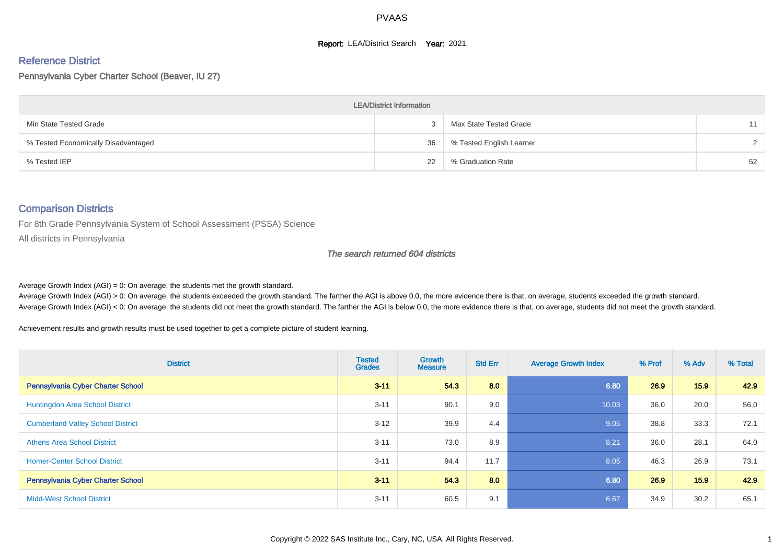#### **Report: LEA/District Search Year: 2021**

#### Reference District

Pennsylvania Cyber Charter School (Beaver, IU 27)

| <b>LEA/District Information</b>     |    |                          |               |  |  |  |  |  |  |
|-------------------------------------|----|--------------------------|---------------|--|--|--|--|--|--|
| Min State Tested Grade              |    | Max State Tested Grade   | 11            |  |  |  |  |  |  |
| % Tested Economically Disadvantaged | 36 | % Tested English Learner | $\mathcal{D}$ |  |  |  |  |  |  |
| % Tested IEP                        | 22 | % Graduation Rate        | 52            |  |  |  |  |  |  |

#### Comparison Districts

For 8th Grade Pennsylvania System of School Assessment (PSSA) Science

All districts in Pennsylvania

#### The search returned 604 districts

Average Growth Index  $(AGI) = 0$ : On average, the students met the growth standard.

Average Growth Index (AGI) > 0: On average, the students exceeded the growth standard. The farther the AGI is above 0.0, the more evidence there is that, on average, students exceeded the growth standard. Average Growth Index (AGI) < 0: On average, the students did not meet the growth standard. The farther the AGI is below 0.0, the more evidence there is that, on average, students did not meet the growth standard.

Achievement results and growth results must be used together to get a complete picture of student learning.

| <b>District</b>                          | <b>Tested</b><br><b>Grades</b> | <b>Growth</b><br><b>Measure</b> | <b>Std Err</b> | <b>Average Growth Index</b> | % Prof | % Adv | % Total |
|------------------------------------------|--------------------------------|---------------------------------|----------------|-----------------------------|--------|-------|---------|
| Pennsylvania Cyber Charter School        | $3 - 11$                       | 54.3                            | 8.0            | 6.80                        | 26.9   | 15.9  | 42.9    |
| <b>Huntingdon Area School District</b>   | $3 - 11$                       | 90.1                            | 9.0            | 10.03                       | 36.0   | 20.0  | 56.0    |
| <b>Cumberland Valley School District</b> | $3 - 12$                       | 39.9                            | 4.4            | 9.05                        | 38.8   | 33.3  | 72.1    |
| <b>Athens Area School District</b>       | $3 - 11$                       | 73.0                            | 8.9            | 8.21                        | 36.0   | 28.1  | 64.0    |
| <b>Homer-Center School District</b>      | $3 - 11$                       | 94.4                            | 11.7           | 8.05                        | 46.3   | 26.9  | 73.1    |
| <b>Pennsylvania Cyber Charter School</b> | $3 - 11$                       | 54.3                            | 8.0            | 6.80                        | 26.9   | 15.9  | 42.9    |
| <b>Midd-West School District</b>         | $3 - 11$                       | 60.5                            | 9.1            | 6.67                        | 34.9   | 30.2  | 65.1    |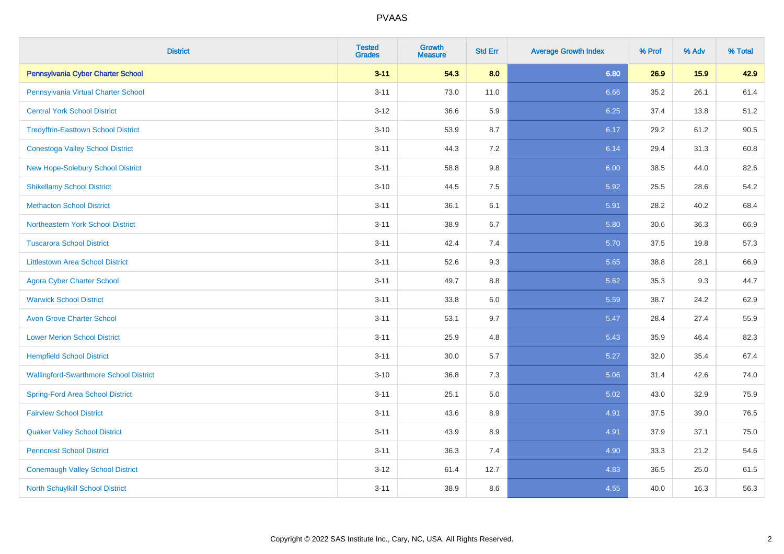| <b>District</b>                               | <b>Tested</b><br><b>Grades</b> | Growth<br><b>Measure</b> | <b>Std Err</b> | <b>Average Growth Index</b> | % Prof | % Adv | % Total |
|-----------------------------------------------|--------------------------------|--------------------------|----------------|-----------------------------|--------|-------|---------|
| Pennsylvania Cyber Charter School             | $3 - 11$                       | 54.3                     | 8.0            | 6.80                        | 26.9   | 15.9  | 42.9    |
| Pennsylvania Virtual Charter School           | $3 - 11$                       | 73.0                     | 11.0           | 6.66                        | 35.2   | 26.1  | 61.4    |
| <b>Central York School District</b>           | $3 - 12$                       | 36.6                     | 5.9            | 6.25                        | 37.4   | 13.8  | 51.2    |
| <b>Tredyffrin-Easttown School District</b>    | $3 - 10$                       | 53.9                     | 8.7            | 6.17                        | 29.2   | 61.2  | 90.5    |
| <b>Conestoga Valley School District</b>       | $3 - 11$                       | 44.3                     | 7.2            | 6.14                        | 29.4   | 31.3  | 60.8    |
| New Hope-Solebury School District             | $3 - 11$                       | 58.8                     | 9.8            | 6.00                        | 38.5   | 44.0  | 82.6    |
| <b>Shikellamy School District</b>             | $3 - 10$                       | 44.5                     | 7.5            | 5.92                        | 25.5   | 28.6  | 54.2    |
| <b>Methacton School District</b>              | $3 - 11$                       | 36.1                     | 6.1            | 5.91                        | 28.2   | 40.2  | 68.4    |
| Northeastern York School District             | $3 - 11$                       | 38.9                     | 6.7            | 5.80                        | 30.6   | 36.3  | 66.9    |
| <b>Tuscarora School District</b>              | $3 - 11$                       | 42.4                     | 7.4            | 5.70                        | 37.5   | 19.8  | 57.3    |
| <b>Littlestown Area School District</b>       | $3 - 11$                       | 52.6                     | 9.3            | 5.65                        | 38.8   | 28.1  | 66.9    |
| <b>Agora Cyber Charter School</b>             | $3 - 11$                       | 49.7                     | 8.8            | 5.62                        | 35.3   | 9.3   | 44.7    |
| <b>Warwick School District</b>                | $3 - 11$                       | 33.8                     | $6.0\,$        | 5.59                        | 38.7   | 24.2  | 62.9    |
| <b>Avon Grove Charter School</b>              | $3 - 11$                       | 53.1                     | 9.7            | 5.47                        | 28.4   | 27.4  | 55.9    |
| <b>Lower Merion School District</b>           | $3 - 11$                       | 25.9                     | 4.8            | 5.43                        | 35.9   | 46.4  | 82.3    |
| <b>Hempfield School District</b>              | $3 - 11$                       | 30.0                     | 5.7            | 5.27                        | 32.0   | 35.4  | 67.4    |
| <b>Wallingford-Swarthmore School District</b> | $3 - 10$                       | 36.8                     | 7.3            | 5.06                        | 31.4   | 42.6  | 74.0    |
| <b>Spring-Ford Area School District</b>       | $3 - 11$                       | 25.1                     | 5.0            | 5.02                        | 43.0   | 32.9  | 75.9    |
| <b>Fairview School District</b>               | $3 - 11$                       | 43.6                     | 8.9            | 4.91                        | 37.5   | 39.0  | 76.5    |
| <b>Quaker Valley School District</b>          | $3 - 11$                       | 43.9                     | 8.9            | 4.91                        | 37.9   | 37.1  | 75.0    |
| <b>Penncrest School District</b>              | $3 - 11$                       | 36.3                     | 7.4            | 4.90                        | 33.3   | 21.2  | 54.6    |
| <b>Conemaugh Valley School District</b>       | $3 - 12$                       | 61.4                     | 12.7           | 4.83                        | 36.5   | 25.0  | 61.5    |
| North Schuylkill School District              | $3 - 11$                       | 38.9                     | 8.6            | 4.55                        | 40.0   | 16.3  | 56.3    |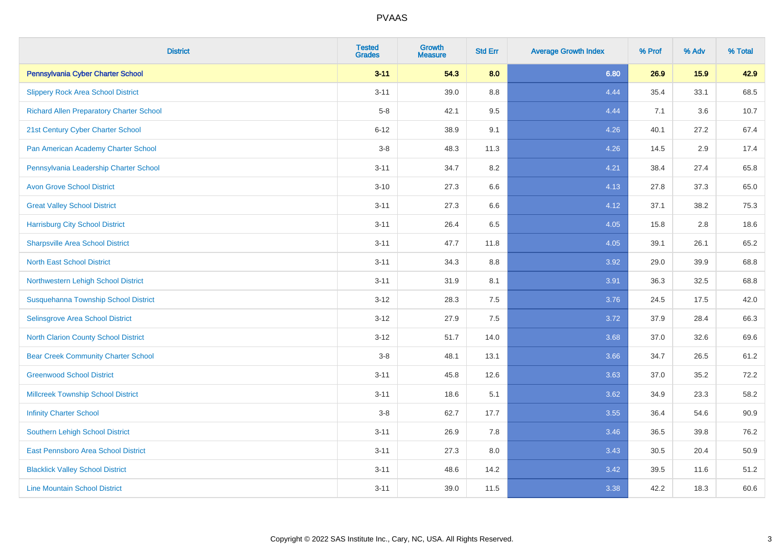| <b>District</b>                                 | <b>Tested</b><br><b>Grades</b> | <b>Growth</b><br><b>Measure</b> | <b>Std Err</b> | <b>Average Growth Index</b> | % Prof | % Adv | % Total |
|-------------------------------------------------|--------------------------------|---------------------------------|----------------|-----------------------------|--------|-------|---------|
| Pennsylvania Cyber Charter School               | $3 - 11$                       | 54.3                            | 8.0            | 6.80                        | 26.9   | 15.9  | 42.9    |
| <b>Slippery Rock Area School District</b>       | $3 - 11$                       | 39.0                            | 8.8            | 4.44                        | 35.4   | 33.1  | 68.5    |
| <b>Richard Allen Preparatory Charter School</b> | $5-8$                          | 42.1                            | 9.5            | 4.44                        | 7.1    | 3.6   | 10.7    |
| 21st Century Cyber Charter School               | $6 - 12$                       | 38.9                            | 9.1            | 4.26                        | 40.1   | 27.2  | 67.4    |
| Pan American Academy Charter School             | $3-8$                          | 48.3                            | 11.3           | 4.26                        | 14.5   | 2.9   | 17.4    |
| Pennsylvania Leadership Charter School          | $3 - 11$                       | 34.7                            | 8.2            | 4.21                        | 38.4   | 27.4  | 65.8    |
| <b>Avon Grove School District</b>               | $3 - 10$                       | 27.3                            | 6.6            | 4.13                        | 27.8   | 37.3  | 65.0    |
| <b>Great Valley School District</b>             | $3 - 11$                       | 27.3                            | 6.6            | 4.12                        | 37.1   | 38.2  | 75.3    |
| <b>Harrisburg City School District</b>          | $3 - 11$                       | 26.4                            | 6.5            | 4.05                        | 15.8   | 2.8   | 18.6    |
| <b>Sharpsville Area School District</b>         | $3 - 11$                       | 47.7                            | 11.8           | 4.05                        | 39.1   | 26.1  | 65.2    |
| <b>North East School District</b>               | $3 - 11$                       | 34.3                            | 8.8            | 3.92                        | 29.0   | 39.9  | 68.8    |
| Northwestern Lehigh School District             | $3 - 11$                       | 31.9                            | 8.1            | 3.91                        | 36.3   | 32.5  | 68.8    |
| Susquehanna Township School District            | $3-12$                         | 28.3                            | 7.5            | 3.76                        | 24.5   | 17.5  | 42.0    |
| Selinsgrove Area School District                | $3 - 12$                       | 27.9                            | 7.5            | 3.72                        | 37.9   | 28.4  | 66.3    |
| North Clarion County School District            | $3 - 12$                       | 51.7                            | 14.0           | 3.68                        | 37.0   | 32.6  | 69.6    |
| <b>Bear Creek Community Charter School</b>      | $3 - 8$                        | 48.1                            | 13.1           | 3.66                        | 34.7   | 26.5  | 61.2    |
| <b>Greenwood School District</b>                | $3 - 11$                       | 45.8                            | 12.6           | 3.63                        | 37.0   | 35.2  | 72.2    |
| <b>Millcreek Township School District</b>       | $3 - 11$                       | 18.6                            | 5.1            | 3.62                        | 34.9   | 23.3  | 58.2    |
| <b>Infinity Charter School</b>                  | $3 - 8$                        | 62.7                            | 17.7           | 3.55                        | 36.4   | 54.6  | 90.9    |
| <b>Southern Lehigh School District</b>          | $3 - 11$                       | 26.9                            | 7.8            | 3.46                        | 36.5   | 39.8  | 76.2    |
| East Pennsboro Area School District             | $3 - 11$                       | 27.3                            | 8.0            | 3.43                        | 30.5   | 20.4  | 50.9    |
| <b>Blacklick Valley School District</b>         | $3 - 11$                       | 48.6                            | 14.2           | 3.42                        | 39.5   | 11.6  | 51.2    |
| <b>Line Mountain School District</b>            | $3 - 11$                       | 39.0                            | 11.5           | 3.38                        | 42.2   | 18.3  | 60.6    |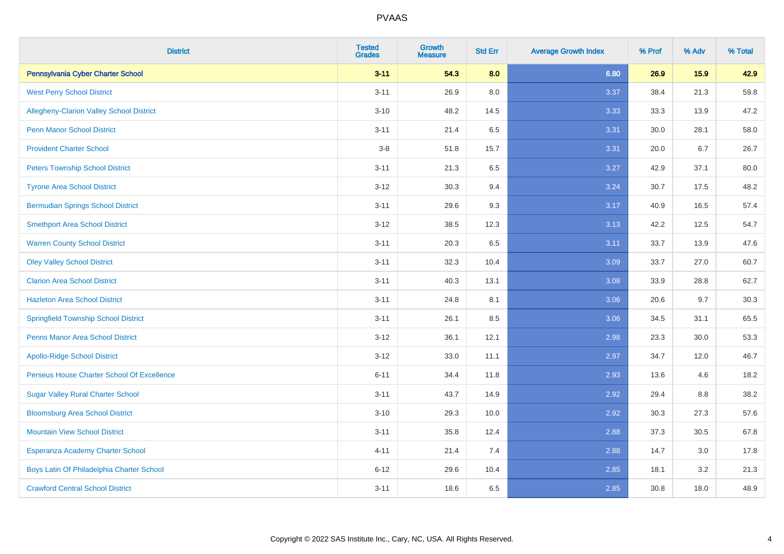| <b>District</b>                             | <b>Tested</b><br><b>Grades</b> | Growth<br><b>Measure</b> | <b>Std Err</b> | <b>Average Growth Index</b> | % Prof | % Adv | % Total |
|---------------------------------------------|--------------------------------|--------------------------|----------------|-----------------------------|--------|-------|---------|
| Pennsylvania Cyber Charter School           | $3 - 11$                       | 54.3                     | 8.0            | 6.80                        | 26.9   | 15.9  | 42.9    |
| <b>West Perry School District</b>           | $3 - 11$                       | 26.9                     | 8.0            | 3.37                        | 38.4   | 21.3  | 59.8    |
| Allegheny-Clarion Valley School District    | $3 - 10$                       | 48.2                     | 14.5           | 3.33                        | 33.3   | 13.9  | 47.2    |
| <b>Penn Manor School District</b>           | $3 - 11$                       | 21.4                     | 6.5            | 3.31                        | 30.0   | 28.1  | 58.0    |
| <b>Provident Charter School</b>             | $3-8$                          | 51.8                     | 15.7           | 3.31                        | 20.0   | 6.7   | 26.7    |
| <b>Peters Township School District</b>      | $3 - 11$                       | 21.3                     | 6.5            | 3.27                        | 42.9   | 37.1  | 80.0    |
| <b>Tyrone Area School District</b>          | $3 - 12$                       | 30.3                     | 9.4            | 3.24                        | 30.7   | 17.5  | 48.2    |
| <b>Bermudian Springs School District</b>    | $3 - 11$                       | 29.6                     | 9.3            | 3.17                        | 40.9   | 16.5  | 57.4    |
| <b>Smethport Area School District</b>       | $3 - 12$                       | 38.5                     | 12.3           | 3.13                        | 42.2   | 12.5  | 54.7    |
| <b>Warren County School District</b>        | $3 - 11$                       | 20.3                     | 6.5            | 3.11                        | 33.7   | 13.9  | 47.6    |
| <b>Oley Valley School District</b>          | $3 - 11$                       | 32.3                     | 10.4           | 3.09                        | 33.7   | 27.0  | 60.7    |
| <b>Clarion Area School District</b>         | $3 - 11$                       | 40.3                     | 13.1           | 3.08                        | 33.9   | 28.8  | 62.7    |
| <b>Hazleton Area School District</b>        | $3 - 11$                       | 24.8                     | 8.1            | 3.06                        | 20.6   | 9.7   | 30.3    |
| <b>Springfield Township School District</b> | $3 - 11$                       | 26.1                     | 8.5            | 3.06                        | 34.5   | 31.1  | 65.5    |
| <b>Penns Manor Area School District</b>     | $3 - 12$                       | 36.1                     | 12.1           | 2.98                        | 23.3   | 30.0  | 53.3    |
| <b>Apollo-Ridge School District</b>         | $3 - 12$                       | 33.0                     | 11.1           | 2.97                        | 34.7   | 12.0  | 46.7    |
| Perseus House Charter School Of Excellence  | $6 - 11$                       | 34.4                     | 11.8           | 2.93                        | 13.6   | 4.6   | 18.2    |
| <b>Sugar Valley Rural Charter School</b>    | $3 - 11$                       | 43.7                     | 14.9           | 2.92                        | 29.4   | 8.8   | 38.2    |
| <b>Bloomsburg Area School District</b>      | $3 - 10$                       | 29.3                     | 10.0           | 2.92                        | 30.3   | 27.3  | 57.6    |
| <b>Mountain View School District</b>        | $3 - 11$                       | 35.8                     | 12.4           | 2.88                        | 37.3   | 30.5  | 67.8    |
| Esperanza Academy Charter School            | $4 - 11$                       | 21.4                     | 7.4            | 2.88                        | 14.7   | 3.0   | 17.8    |
| Boys Latin Of Philadelphia Charter School   | $6 - 12$                       | 29.6                     | 10.4           | 2.85                        | 18.1   | 3.2   | 21.3    |
| <b>Crawford Central School District</b>     | $3 - 11$                       | 18.6                     | 6.5            | 2.85                        | 30.8   | 18.0  | 48.9    |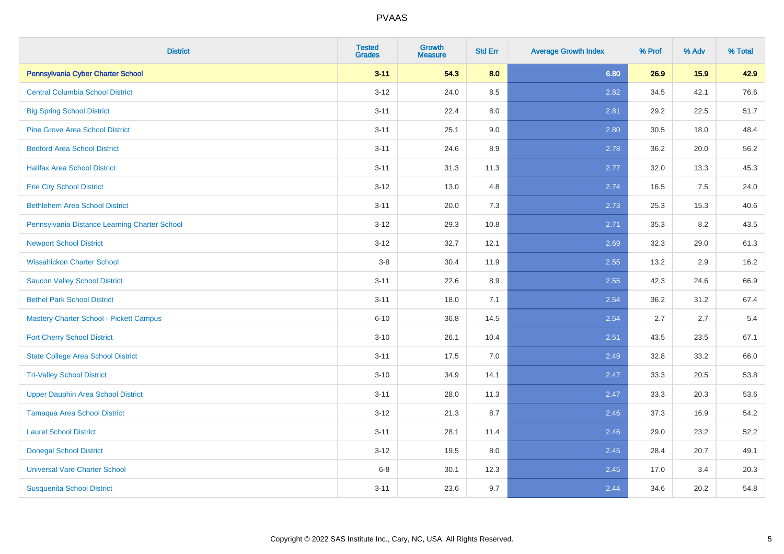| <b>District</b>                                | <b>Tested</b><br><b>Grades</b> | Growth<br><b>Measure</b> | <b>Std Err</b> | <b>Average Growth Index</b> | % Prof | % Adv | % Total |
|------------------------------------------------|--------------------------------|--------------------------|----------------|-----------------------------|--------|-------|---------|
| Pennsylvania Cyber Charter School              | $3 - 11$                       | 54.3                     | 8.0            | 6.80                        | 26.9   | 15.9  | 42.9    |
| <b>Central Columbia School District</b>        | $3 - 12$                       | 24.0                     | 8.5            | 2.82                        | 34.5   | 42.1  | 76.6    |
| <b>Big Spring School District</b>              | $3 - 11$                       | 22.4                     | 8.0            | 2.81                        | 29.2   | 22.5  | 51.7    |
| <b>Pine Grove Area School District</b>         | $3 - 11$                       | 25.1                     | 9.0            | 2.80                        | 30.5   | 18.0  | 48.4    |
| <b>Bedford Area School District</b>            | $3 - 11$                       | 24.6                     | 8.9            | 2.78                        | 36.2   | 20.0  | 56.2    |
| <b>Halifax Area School District</b>            | $3 - 11$                       | 31.3                     | 11.3           | 2.77                        | 32.0   | 13.3  | 45.3    |
| <b>Erie City School District</b>               | $3 - 12$                       | 13.0                     | 4.8            | 2.74                        | 16.5   | 7.5   | 24.0    |
| <b>Bethlehem Area School District</b>          | $3 - 11$                       | 20.0                     | 7.3            | 2.73                        | 25.3   | 15.3  | 40.6    |
| Pennsylvania Distance Learning Charter School  | $3 - 12$                       | 29.3                     | 10.8           | 2.71                        | 35.3   | 8.2   | 43.5    |
| <b>Newport School District</b>                 | $3 - 12$                       | 32.7                     | 12.1           | 2.69                        | 32.3   | 29.0  | 61.3    |
| <b>Wissahickon Charter School</b>              | $3 - 8$                        | 30.4                     | 11.9           | 2.55                        | 13.2   | 2.9   | 16.2    |
| <b>Saucon Valley School District</b>           | $3 - 11$                       | 22.6                     | 8.9            | 2.55                        | 42.3   | 24.6  | 66.9    |
| <b>Bethel Park School District</b>             | $3 - 11$                       | 18.0                     | 7.1            | 2.54                        | 36.2   | 31.2  | 67.4    |
| <b>Mastery Charter School - Pickett Campus</b> | $6 - 10$                       | 36.8                     | 14.5           | 2.54                        | 2.7    | 2.7   | $5.4$   |
| <b>Fort Cherry School District</b>             | $3 - 10$                       | 26.1                     | 10.4           | 2.51                        | 43.5   | 23.5  | 67.1    |
| <b>State College Area School District</b>      | $3 - 11$                       | 17.5                     | 7.0            | 2.49                        | 32.8   | 33.2  | 66.0    |
| <b>Tri-Valley School District</b>              | $3 - 10$                       | 34.9                     | 14.1           | 2.47                        | 33.3   | 20.5  | 53.8    |
| <b>Upper Dauphin Area School District</b>      | $3 - 11$                       | 28.0                     | 11.3           | 2.47                        | 33.3   | 20.3  | 53.6    |
| <b>Tamaqua Area School District</b>            | $3 - 12$                       | 21.3                     | 8.7            | 2.46                        | 37.3   | 16.9  | 54.2    |
| <b>Laurel School District</b>                  | $3 - 11$                       | 28.1                     | 11.4           | 2.46                        | 29.0   | 23.2  | 52.2    |
| <b>Donegal School District</b>                 | $3 - 12$                       | 19.5                     | 8.0            | 2.45                        | 28.4   | 20.7  | 49.1    |
| <b>Universal Vare Charter School</b>           | $6 - 8$                        | 30.1                     | 12.3           | 2.45                        | 17.0   | 3.4   | 20.3    |
| <b>Susquenita School District</b>              | $3 - 11$                       | 23.6                     | 9.7            | 2.44                        | 34.6   | 20.2  | 54.8    |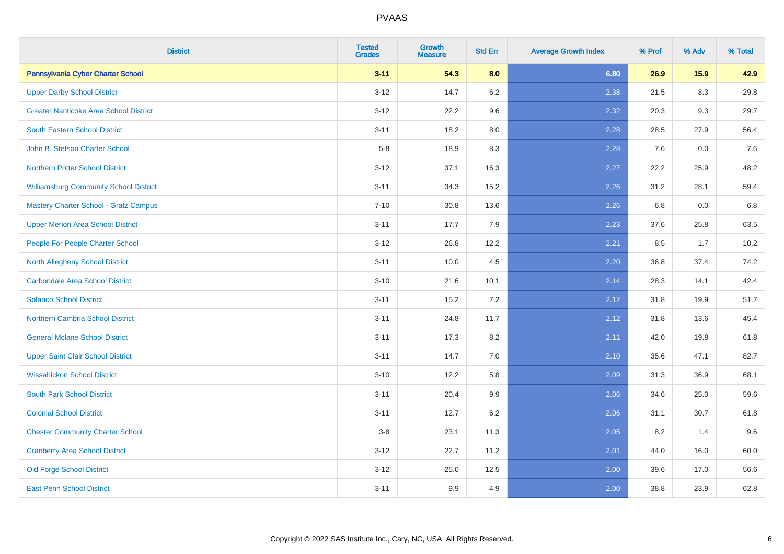| <b>District</b>                               | <b>Tested</b><br><b>Grades</b> | Growth<br><b>Measure</b> | <b>Std Err</b> | <b>Average Growth Index</b> | % Prof | % Adv | % Total |
|-----------------------------------------------|--------------------------------|--------------------------|----------------|-----------------------------|--------|-------|---------|
| Pennsylvania Cyber Charter School             | $3 - 11$                       | 54.3                     | 8.0            | 6.80                        | 26.9   | 15.9  | 42.9    |
| <b>Upper Darby School District</b>            | $3 - 12$                       | 14.7                     | 6.2            | 2.38                        | 21.5   | 8.3   | 29.8    |
| <b>Greater Nanticoke Area School District</b> | $3 - 12$                       | 22.2                     | 9.6            | 2.32                        | 20.3   | 9.3   | 29.7    |
| <b>South Eastern School District</b>          | $3 - 11$                       | 18.2                     | 8.0            | 2.28                        | 28.5   | 27.9  | 56.4    |
| John B. Stetson Charter School                | $5-8$                          | 18.9                     | 8.3            | 2.28                        | 7.6    | 0.0   | 7.6     |
| Northern Potter School District               | $3 - 12$                       | 37.1                     | 16.3           | 2.27                        | 22.2   | 25.9  | 48.2    |
| <b>Williamsburg Community School District</b> | $3 - 11$                       | 34.3                     | 15.2           | 2.26                        | 31.2   | 28.1  | 59.4    |
| <b>Mastery Charter School - Gratz Campus</b>  | $7 - 10$                       | 30.8                     | 13.6           | 2.26                        | 6.8    | 0.0   | $6.8\,$ |
| <b>Upper Merion Area School District</b>      | $3 - 11$                       | 17.7                     | 7.9            | 2.23                        | 37.6   | 25.8  | 63.5    |
| People For People Charter School              | $3 - 12$                       | 26.8                     | 12.2           | 2.21                        | 8.5    | 1.7   | 10.2    |
| <b>North Allegheny School District</b>        | $3 - 11$                       | 10.0                     | 4.5            | 2.20                        | 36.8   | 37.4  | 74.2    |
| <b>Carbondale Area School District</b>        | $3 - 10$                       | 21.6                     | 10.1           | 2.14                        | 28.3   | 14.1  | 42.4    |
| <b>Solanco School District</b>                | $3 - 11$                       | 15.2                     | 7.2            | 2.12                        | 31.8   | 19.9  | 51.7    |
| <b>Northern Cambria School District</b>       | $3 - 11$                       | 24.8                     | 11.7           | 2.12                        | 31.8   | 13.6  | 45.4    |
| <b>General Mclane School District</b>         | $3 - 11$                       | 17.3                     | 8.2            | 2.11                        | 42.0   | 19.8  | 61.8    |
| <b>Upper Saint Clair School District</b>      | $3 - 11$                       | 14.7                     | $7.0$          | 2.10                        | 35.6   | 47.1  | 82.7    |
| <b>Wissahickon School District</b>            | $3 - 10$                       | 12.2                     | 5.8            | 2.09                        | 31.3   | 36.9  | 68.1    |
| <b>South Park School District</b>             | $3 - 11$                       | 20.4                     | 9.9            | 2.06                        | 34.6   | 25.0  | 59.6    |
| <b>Colonial School District</b>               | $3 - 11$                       | 12.7                     | 6.2            | 2.06                        | 31.1   | 30.7  | 61.8    |
| <b>Chester Community Charter School</b>       | $3 - 8$                        | 23.1                     | 11.3           | 2.05                        | 8.2    | 1.4   | 9.6     |
| <b>Cranberry Area School District</b>         | $3 - 12$                       | 22.7                     | 11.2           | 2.01                        | 44.0   | 16.0  | 60.0    |
| <b>Old Forge School District</b>              | $3 - 12$                       | 25.0                     | 12.5           | 2.00                        | 39.6   | 17.0  | 56.6    |
| <b>East Penn School District</b>              | $3 - 11$                       | 9.9                      | 4.9            | 2.00                        | 38.8   | 23.9  | 62.8    |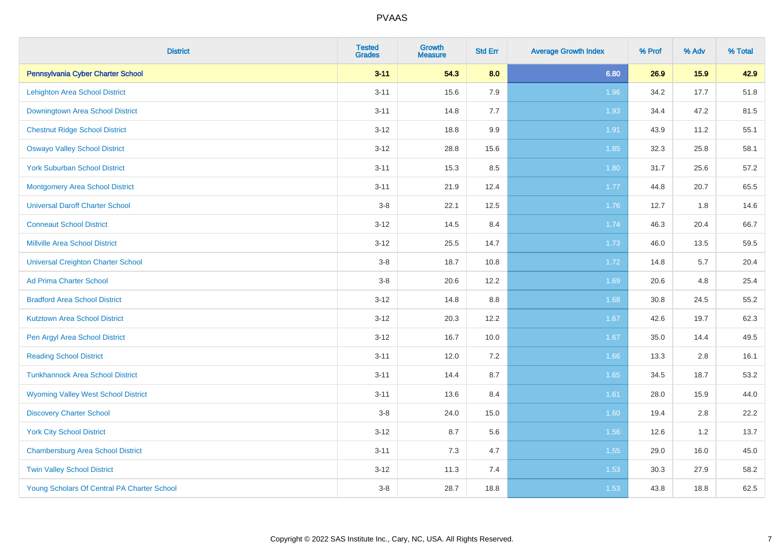| <b>District</b>                             | <b>Tested</b><br><b>Grades</b> | Growth<br><b>Measure</b> | <b>Std Err</b> | <b>Average Growth Index</b> | % Prof | % Adv | % Total |
|---------------------------------------------|--------------------------------|--------------------------|----------------|-----------------------------|--------|-------|---------|
| Pennsylvania Cyber Charter School           | $3 - 11$                       | 54.3                     | 8.0            | 6.80                        | 26.9   | 15.9  | 42.9    |
| Lehighton Area School District              | $3 - 11$                       | 15.6                     | 7.9            | 1.96                        | 34.2   | 17.7  | 51.8    |
| Downingtown Area School District            | $3 - 11$                       | 14.8                     | 7.7            | 1.93                        | 34.4   | 47.2  | 81.5    |
| <b>Chestnut Ridge School District</b>       | $3 - 12$                       | 18.8                     | 9.9            | 1.91                        | 43.9   | 11.2  | 55.1    |
| <b>Oswayo Valley School District</b>        | $3 - 12$                       | 28.8                     | 15.6           | 1.85                        | 32.3   | 25.8  | 58.1    |
| <b>York Suburban School District</b>        | $3 - 11$                       | 15.3                     | 8.5            | 1.80                        | 31.7   | 25.6  | 57.2    |
| <b>Montgomery Area School District</b>      | $3 - 11$                       | 21.9                     | 12.4           | 1.77                        | 44.8   | 20.7  | 65.5    |
| <b>Universal Daroff Charter School</b>      | $3 - 8$                        | 22.1                     | 12.5           | 1.76                        | 12.7   | 1.8   | 14.6    |
| <b>Conneaut School District</b>             | $3 - 12$                       | 14.5                     | 8.4            | 1.74                        | 46.3   | 20.4  | 66.7    |
| <b>Millville Area School District</b>       | $3 - 12$                       | 25.5                     | 14.7           | 1.73                        | 46.0   | 13.5  | 59.5    |
| <b>Universal Creighton Charter School</b>   | $3 - 8$                        | 18.7                     | 10.8           | 1.72                        | 14.8   | 5.7   | 20.4    |
| <b>Ad Prima Charter School</b>              | $3-8$                          | 20.6                     | 12.2           | 1.69                        | 20.6   | 4.8   | 25.4    |
| <b>Bradford Area School District</b>        | $3 - 12$                       | 14.8                     | 8.8            | 1.68                        | 30.8   | 24.5  | 55.2    |
| <b>Kutztown Area School District</b>        | $3 - 12$                       | 20.3                     | 12.2           | 1.67                        | 42.6   | 19.7  | 62.3    |
| Pen Argyl Area School District              | $3 - 12$                       | 16.7                     | 10.0           | 1.67                        | 35.0   | 14.4  | 49.5    |
| <b>Reading School District</b>              | $3 - 11$                       | 12.0                     | 7.2            | 1.66                        | 13.3   | 2.8   | 16.1    |
| <b>Tunkhannock Area School District</b>     | $3 - 11$                       | 14.4                     | 8.7            | 1.65                        | 34.5   | 18.7  | 53.2    |
| <b>Wyoming Valley West School District</b>  | $3 - 11$                       | 13.6                     | 8.4            | 1.61                        | 28.0   | 15.9  | 44.0    |
| <b>Discovery Charter School</b>             | $3 - 8$                        | 24.0                     | 15.0           | 1.60                        | 19.4   | 2.8   | 22.2    |
| <b>York City School District</b>            | $3 - 12$                       | 8.7                      | 5.6            | 1.56                        | 12.6   | 1.2   | 13.7    |
| <b>Chambersburg Area School District</b>    | $3 - 11$                       | 7.3                      | 4.7            | 1.55                        | 29.0   | 16.0  | 45.0    |
| <b>Twin Valley School District</b>          | $3 - 12$                       | 11.3                     | 7.4            | 1.53                        | 30.3   | 27.9  | 58.2    |
| Young Scholars Of Central PA Charter School | $3 - 8$                        | 28.7                     | 18.8           | 1.53                        | 43.8   | 18.8  | 62.5    |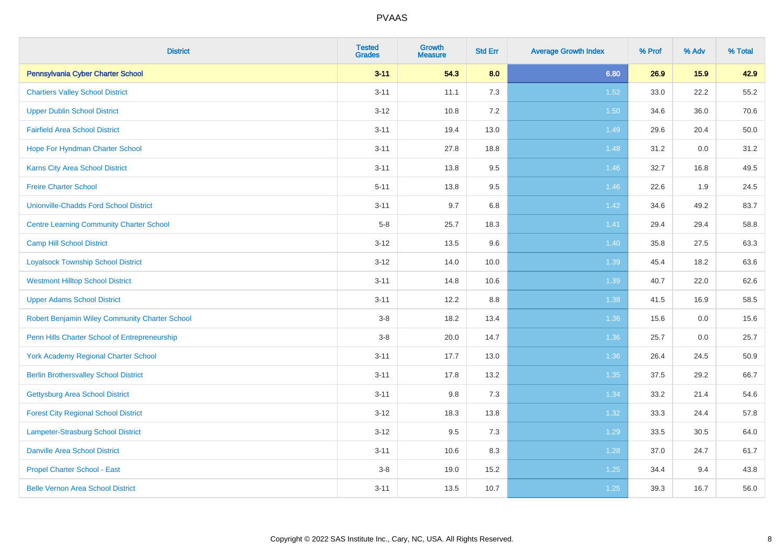| <b>District</b>                                 | <b>Tested</b><br><b>Grades</b> | <b>Growth</b><br><b>Measure</b> | <b>Std Err</b> | <b>Average Growth Index</b> | % Prof | % Adv | % Total |
|-------------------------------------------------|--------------------------------|---------------------------------|----------------|-----------------------------|--------|-------|---------|
| Pennsylvania Cyber Charter School               | $3 - 11$                       | 54.3                            | 8.0            | 6.80                        | 26.9   | 15.9  | 42.9    |
| <b>Chartiers Valley School District</b>         | $3 - 11$                       | 11.1                            | 7.3            | $1.52$                      | 33.0   | 22.2  | 55.2    |
| <b>Upper Dublin School District</b>             | $3 - 12$                       | 10.8                            | 7.2            | 1.50                        | 34.6   | 36.0  | 70.6    |
| <b>Fairfield Area School District</b>           | $3 - 11$                       | 19.4                            | 13.0           | 1.49                        | 29.6   | 20.4  | 50.0    |
| Hope For Hyndman Charter School                 | $3 - 11$                       | 27.8                            | 18.8           | 1.48                        | 31.2   | 0.0   | 31.2    |
| <b>Karns City Area School District</b>          | $3 - 11$                       | 13.8                            | $9.5\,$        | 1.46                        | 32.7   | 16.8  | 49.5    |
| <b>Freire Charter School</b>                    | $5 - 11$                       | 13.8                            | 9.5            | 1.46                        | 22.6   | 1.9   | 24.5    |
| <b>Unionville-Chadds Ford School District</b>   | $3 - 11$                       | 9.7                             | 6.8            | 1.42                        | 34.6   | 49.2  | 83.7    |
| <b>Centre Learning Community Charter School</b> | $5-8$                          | 25.7                            | 18.3           | 1.41                        | 29.4   | 29.4  | 58.8    |
| <b>Camp Hill School District</b>                | $3 - 12$                       | 13.5                            | 9.6            | 1.40                        | 35.8   | 27.5  | 63.3    |
| <b>Loyalsock Township School District</b>       | $3 - 12$                       | 14.0                            | 10.0           | 1.39                        | 45.4   | 18.2  | 63.6    |
| <b>Westmont Hilltop School District</b>         | $3 - 11$                       | 14.8                            | 10.6           | 1.39                        | 40.7   | 22.0  | 62.6    |
| <b>Upper Adams School District</b>              | $3 - 11$                       | 12.2                            | 8.8            | 1.38                        | 41.5   | 16.9  | 58.5    |
| Robert Benjamin Wiley Community Charter School  | $3-8$                          | 18.2                            | 13.4           | 1.36                        | 15.6   | 0.0   | 15.6    |
| Penn Hills Charter School of Entrepreneurship   | $3-8$                          | 20.0                            | 14.7           | 1.36                        | 25.7   | 0.0   | 25.7    |
| <b>York Academy Regional Charter School</b>     | $3 - 11$                       | 17.7                            | 13.0           | 1.36                        | 26.4   | 24.5  | 50.9    |
| <b>Berlin Brothersvalley School District</b>    | $3 - 11$                       | 17.8                            | 13.2           | 1.35                        | 37.5   | 29.2  | 66.7    |
| Gettysburg Area School District                 | $3 - 11$                       | 9.8                             | 7.3            | 1.34                        | 33.2   | 21.4  | 54.6    |
| <b>Forest City Regional School District</b>     | $3 - 12$                       | 18.3                            | 13.8           | 1.32                        | 33.3   | 24.4  | 57.8    |
| <b>Lampeter-Strasburg School District</b>       | $3 - 12$                       | 9.5                             | 7.3            | 1.29                        | 33.5   | 30.5  | 64.0    |
| <b>Danville Area School District</b>            | $3 - 11$                       | 10.6                            | 8.3            | 1.28                        | 37.0   | 24.7  | 61.7    |
| Propel Charter School - East                    | $3-8$                          | 19.0                            | 15.2           | $1.25$                      | 34.4   | 9.4   | 43.8    |
| <b>Belle Vernon Area School District</b>        | $3 - 11$                       | 13.5                            | 10.7           | $1.25$                      | 39.3   | 16.7  | 56.0    |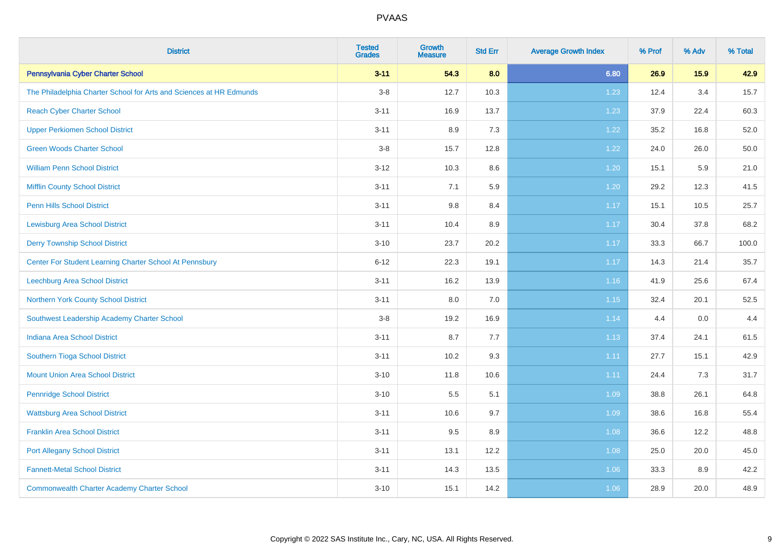| <b>District</b>                                                     | <b>Tested</b><br><b>Grades</b> | Growth<br><b>Measure</b> | <b>Std Err</b> | <b>Average Growth Index</b> | % Prof | % Adv | % Total |
|---------------------------------------------------------------------|--------------------------------|--------------------------|----------------|-----------------------------|--------|-------|---------|
| Pennsylvania Cyber Charter School                                   | $3 - 11$                       | 54.3                     | 8.0            | 6.80                        | 26.9   | 15.9  | 42.9    |
| The Philadelphia Charter School for Arts and Sciences at HR Edmunds | $3-8$                          | 12.7                     | 10.3           | 1.23                        | 12.4   | 3.4   | 15.7    |
| <b>Reach Cyber Charter School</b>                                   | $3 - 11$                       | 16.9                     | 13.7           | 1.23                        | 37.9   | 22.4  | 60.3    |
| <b>Upper Perkiomen School District</b>                              | $3 - 11$                       | 8.9                      | 7.3            | 1.22                        | 35.2   | 16.8  | 52.0    |
| <b>Green Woods Charter School</b>                                   | $3 - 8$                        | 15.7                     | 12.8           | 1.22                        | 24.0   | 26.0  | 50.0    |
| <b>William Penn School District</b>                                 | $3 - 12$                       | 10.3                     | 8.6            | 1.20                        | 15.1   | 5.9   | 21.0    |
| <b>Mifflin County School District</b>                               | $3 - 11$                       | 7.1                      | 5.9            | 1.20                        | 29.2   | 12.3  | 41.5    |
| <b>Penn Hills School District</b>                                   | $3 - 11$                       | $9.8\,$                  | 8.4            | 1.17                        | 15.1   | 10.5  | 25.7    |
| <b>Lewisburg Area School District</b>                               | $3 - 11$                       | 10.4                     | 8.9            | 1.17                        | 30.4   | 37.8  | 68.2    |
| <b>Derry Township School District</b>                               | $3 - 10$                       | 23.7                     | 20.2           | 1.17                        | 33.3   | 66.7  | 100.0   |
| Center For Student Learning Charter School At Pennsbury             | $6 - 12$                       | 22.3                     | 19.1           | 1.17                        | 14.3   | 21.4  | 35.7    |
| Leechburg Area School District                                      | $3 - 11$                       | 16.2                     | 13.9           | 1.16                        | 41.9   | 25.6  | 67.4    |
| Northern York County School District                                | $3 - 11$                       | 8.0                      | 7.0            | 1.15                        | 32.4   | 20.1  | 52.5    |
| Southwest Leadership Academy Charter School                         | $3 - 8$                        | 19.2                     | 16.9           | 1.14                        | 4.4    | 0.0   | 4.4     |
| <b>Indiana Area School District</b>                                 | $3 - 11$                       | 8.7                      | 7.7            | 1.13                        | 37.4   | 24.1  | 61.5    |
| Southern Tioga School District                                      | $3 - 11$                       | 10.2                     | 9.3            | 1.11                        | 27.7   | 15.1  | 42.9    |
| <b>Mount Union Area School District</b>                             | $3 - 10$                       | 11.8                     | 10.6           | 1.11                        | 24.4   | 7.3   | 31.7    |
| <b>Pennridge School District</b>                                    | $3 - 10$                       | 5.5                      | 5.1            | 1.09                        | 38.8   | 26.1  | 64.8    |
| <b>Wattsburg Area School District</b>                               | $3 - 11$                       | 10.6                     | 9.7            | 1.09                        | 38.6   | 16.8  | 55.4    |
| <b>Franklin Area School District</b>                                | $3 - 11$                       | 9.5                      | 8.9            | 1.08                        | 36.6   | 12.2  | 48.8    |
| <b>Port Allegany School District</b>                                | $3 - 11$                       | 13.1                     | 12.2           | 1.08                        | 25.0   | 20.0  | 45.0    |
| <b>Fannett-Metal School District</b>                                | $3 - 11$                       | 14.3                     | 13.5           | 1.06                        | 33.3   | 8.9   | 42.2    |
| <b>Commonwealth Charter Academy Charter School</b>                  | $3 - 10$                       | 15.1                     | 14.2           | 1.06                        | 28.9   | 20.0  | 48.9    |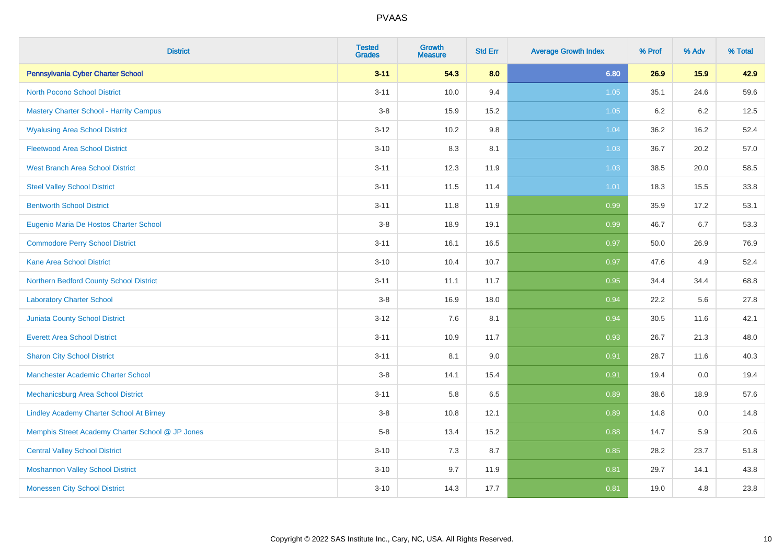| <b>District</b>                                  | <b>Tested</b><br><b>Grades</b> | <b>Growth</b><br><b>Measure</b> | <b>Std Err</b> | <b>Average Growth Index</b> | % Prof | % Adv | % Total |
|--------------------------------------------------|--------------------------------|---------------------------------|----------------|-----------------------------|--------|-------|---------|
| Pennsylvania Cyber Charter School                | $3 - 11$                       | 54.3                            | 8.0            | 6.80                        | 26.9   | 15.9  | 42.9    |
| <b>North Pocono School District</b>              | $3 - 11$                       | 10.0                            | 9.4            | 1.05                        | 35.1   | 24.6  | 59.6    |
| <b>Mastery Charter School - Harrity Campus</b>   | $3-8$                          | 15.9                            | 15.2           | $1.05$                      | 6.2    | 6.2   | 12.5    |
| <b>Wyalusing Area School District</b>            | $3 - 12$                       | 10.2                            | 9.8            | 1.04                        | 36.2   | 16.2  | 52.4    |
| <b>Fleetwood Area School District</b>            | $3 - 10$                       | 8.3                             | 8.1            | 1.03                        | 36.7   | 20.2  | 57.0    |
| <b>West Branch Area School District</b>          | $3 - 11$                       | 12.3                            | 11.9           | 1.03                        | 38.5   | 20.0  | 58.5    |
| <b>Steel Valley School District</b>              | $3 - 11$                       | 11.5                            | 11.4           | 1.01                        | 18.3   | 15.5  | 33.8    |
| <b>Bentworth School District</b>                 | $3 - 11$                       | 11.8                            | 11.9           | 0.99                        | 35.9   | 17.2  | 53.1    |
| Eugenio Maria De Hostos Charter School           | $3-8$                          | 18.9                            | 19.1           | 0.99                        | 46.7   | 6.7   | 53.3    |
| <b>Commodore Perry School District</b>           | $3 - 11$                       | 16.1                            | 16.5           | 0.97                        | 50.0   | 26.9  | 76.9    |
| <b>Kane Area School District</b>                 | $3 - 10$                       | 10.4                            | 10.7           | 0.97                        | 47.6   | 4.9   | 52.4    |
| Northern Bedford County School District          | $3 - 11$                       | 11.1                            | 11.7           | 0.95                        | 34.4   | 34.4  | 68.8    |
| <b>Laboratory Charter School</b>                 | $3 - 8$                        | 16.9                            | 18.0           | 0.94                        | 22.2   | 5.6   | 27.8    |
| <b>Juniata County School District</b>            | $3 - 12$                       | 7.6                             | 8.1            | 0.94                        | 30.5   | 11.6  | 42.1    |
| <b>Everett Area School District</b>              | $3 - 11$                       | 10.9                            | 11.7           | 0.93                        | 26.7   | 21.3  | 48.0    |
| <b>Sharon City School District</b>               | $3 - 11$                       | 8.1                             | 9.0            | 0.91                        | 28.7   | 11.6  | 40.3    |
| <b>Manchester Academic Charter School</b>        | $3-8$                          | 14.1                            | 15.4           | 0.91                        | 19.4   | 0.0   | 19.4    |
| Mechanicsburg Area School District               | $3 - 11$                       | 5.8                             | 6.5            | 0.89                        | 38.6   | 18.9  | 57.6    |
| <b>Lindley Academy Charter School At Birney</b>  | $3 - 8$                        | 10.8                            | 12.1           | 0.89                        | 14.8   | 0.0   | 14.8    |
| Memphis Street Academy Charter School @ JP Jones | $5-8$                          | 13.4                            | 15.2           | 0.88                        | 14.7   | 5.9   | 20.6    |
| <b>Central Valley School District</b>            | $3 - 10$                       | 7.3                             | 8.7            | 0.85                        | 28.2   | 23.7  | 51.8    |
| <b>Moshannon Valley School District</b>          | $3 - 10$                       | 9.7                             | 11.9           | 0.81                        | 29.7   | 14.1  | 43.8    |
| <b>Monessen City School District</b>             | $3 - 10$                       | 14.3                            | 17.7           | 0.81                        | 19.0   | 4.8   | 23.8    |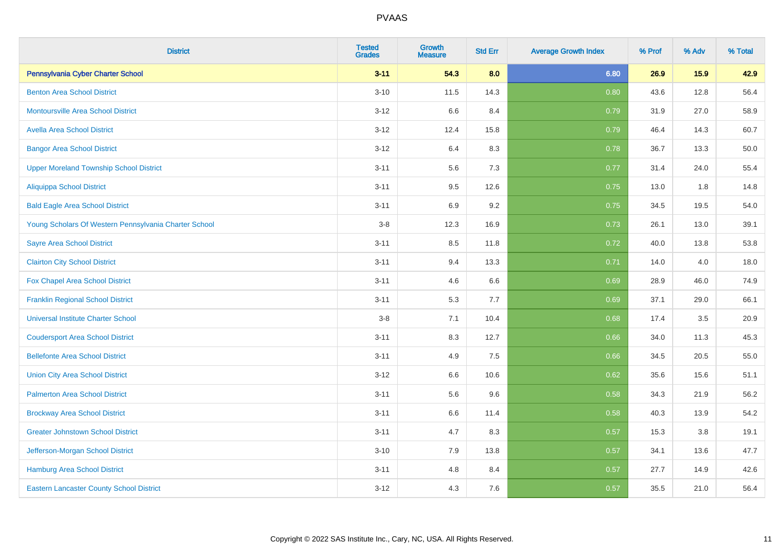| <b>District</b>                                       | <b>Tested</b><br><b>Grades</b> | Growth<br><b>Measure</b> | <b>Std Err</b> | <b>Average Growth Index</b> | % Prof | % Adv | % Total |
|-------------------------------------------------------|--------------------------------|--------------------------|----------------|-----------------------------|--------|-------|---------|
| Pennsylvania Cyber Charter School                     | $3 - 11$                       | 54.3                     | 8.0            | 6.80                        | 26.9   | 15.9  | 42.9    |
| <b>Benton Area School District</b>                    | $3 - 10$                       | 11.5                     | 14.3           | 0.80                        | 43.6   | 12.8  | 56.4    |
| <b>Montoursville Area School District</b>             | $3 - 12$                       | 6.6                      | 8.4            | 0.79                        | 31.9   | 27.0  | 58.9    |
| <b>Avella Area School District</b>                    | $3 - 12$                       | 12.4                     | 15.8           | 0.79                        | 46.4   | 14.3  | 60.7    |
| <b>Bangor Area School District</b>                    | $3 - 12$                       | 6.4                      | 8.3            | 0.78                        | 36.7   | 13.3  | 50.0    |
| <b>Upper Moreland Township School District</b>        | $3 - 11$                       | 5.6                      | 7.3            | 0.77                        | 31.4   | 24.0  | 55.4    |
| <b>Aliquippa School District</b>                      | $3 - 11$                       | 9.5                      | 12.6           | 0.75                        | 13.0   | 1.8   | 14.8    |
| <b>Bald Eagle Area School District</b>                | $3 - 11$                       | 6.9                      | 9.2            | 0.75                        | 34.5   | 19.5  | 54.0    |
| Young Scholars Of Western Pennsylvania Charter School | $3-8$                          | 12.3                     | 16.9           | 0.73                        | 26.1   | 13.0  | 39.1    |
| <b>Sayre Area School District</b>                     | $3 - 11$                       | 8.5                      | 11.8           | 0.72                        | 40.0   | 13.8  | 53.8    |
| <b>Clairton City School District</b>                  | $3 - 11$                       | 9.4                      | 13.3           | 0.71                        | 14.0   | 4.0   | 18.0    |
| Fox Chapel Area School District                       | $3 - 11$                       | 4.6                      | 6.6            | 0.69                        | 28.9   | 46.0  | 74.9    |
| <b>Franklin Regional School District</b>              | $3 - 11$                       | 5.3                      | 7.7            | 0.69                        | 37.1   | 29.0  | 66.1    |
| <b>Universal Institute Charter School</b>             | $3-8$                          | 7.1                      | 10.4           | 0.68                        | 17.4   | 3.5   | 20.9    |
| <b>Coudersport Area School District</b>               | $3 - 11$                       | 8.3                      | 12.7           | 0.66                        | 34.0   | 11.3  | 45.3    |
| <b>Bellefonte Area School District</b>                | $3 - 11$                       | 4.9                      | 7.5            | 0.66                        | 34.5   | 20.5  | 55.0    |
| <b>Union City Area School District</b>                | $3 - 12$                       | 6.6                      | 10.6           | 0.62                        | 35.6   | 15.6  | 51.1    |
| <b>Palmerton Area School District</b>                 | $3 - 11$                       | 5.6                      | 9.6            | 0.58                        | 34.3   | 21.9  | 56.2    |
| <b>Brockway Area School District</b>                  | $3 - 11$                       | 6.6                      | 11.4           | 0.58                        | 40.3   | 13.9  | 54.2    |
| <b>Greater Johnstown School District</b>              | $3 - 11$                       | 4.7                      | 8.3            | 0.57                        | 15.3   | 3.8   | 19.1    |
| Jefferson-Morgan School District                      | $3 - 10$                       | 7.9                      | 13.8           | 0.57                        | 34.1   | 13.6  | 47.7    |
| <b>Hamburg Area School District</b>                   | $3 - 11$                       | 4.8                      | 8.4            | 0.57                        | 27.7   | 14.9  | 42.6    |
| <b>Eastern Lancaster County School District</b>       | $3 - 12$                       | 4.3                      | 7.6            | 0.57                        | 35.5   | 21.0  | 56.4    |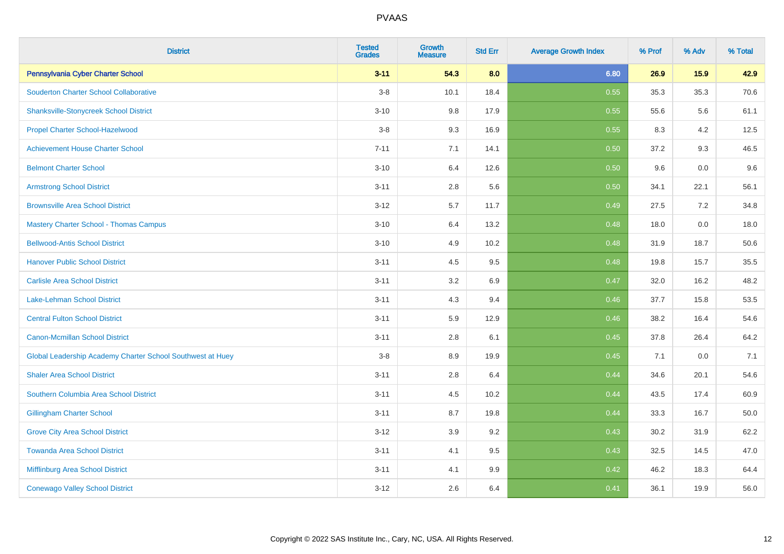| <b>District</b>                                            | <b>Tested</b><br><b>Grades</b> | <b>Growth</b><br><b>Measure</b> | <b>Std Err</b> | <b>Average Growth Index</b> | % Prof | % Adv | % Total |
|------------------------------------------------------------|--------------------------------|---------------------------------|----------------|-----------------------------|--------|-------|---------|
| Pennsylvania Cyber Charter School                          | $3 - 11$                       | 54.3                            | 8.0            | 6.80                        | 26.9   | 15.9  | 42.9    |
| <b>Souderton Charter School Collaborative</b>              | $3-8$                          | 10.1                            | 18.4           | 0.55                        | 35.3   | 35.3  | 70.6    |
| <b>Shanksville-Stonycreek School District</b>              | $3 - 10$                       | 9.8                             | 17.9           | 0.55                        | 55.6   | 5.6   | 61.1    |
| Propel Charter School-Hazelwood                            | $3-8$                          | 9.3                             | 16.9           | 0.55                        | 8.3    | 4.2   | 12.5    |
| <b>Achievement House Charter School</b>                    | $7 - 11$                       | 7.1                             | 14.1           | 0.50                        | 37.2   | 9.3   | 46.5    |
| <b>Belmont Charter School</b>                              | $3 - 10$                       | 6.4                             | 12.6           | 0.50                        | 9.6    | 0.0   | $9.6\,$ |
| <b>Armstrong School District</b>                           | $3 - 11$                       | 2.8                             | 5.6            | 0.50                        | 34.1   | 22.1  | 56.1    |
| <b>Brownsville Area School District</b>                    | $3 - 12$                       | 5.7                             | 11.7           | 0.49                        | 27.5   | 7.2   | 34.8    |
| <b>Mastery Charter School - Thomas Campus</b>              | $3 - 10$                       | 6.4                             | 13.2           | 0.48                        | 18.0   | 0.0   | 18.0    |
| <b>Bellwood-Antis School District</b>                      | $3 - 10$                       | 4.9                             | 10.2           | 0.48                        | 31.9   | 18.7  | 50.6    |
| <b>Hanover Public School District</b>                      | $3 - 11$                       | 4.5                             | 9.5            | 0.48                        | 19.8   | 15.7  | 35.5    |
| <b>Carlisle Area School District</b>                       | $3 - 11$                       | 3.2                             | 6.9            | 0.47                        | 32.0   | 16.2  | 48.2    |
| Lake-Lehman School District                                | $3 - 11$                       | 4.3                             | 9.4            | 0.46                        | 37.7   | 15.8  | 53.5    |
| <b>Central Fulton School District</b>                      | $3 - 11$                       | 5.9                             | 12.9           | 0.46                        | 38.2   | 16.4  | 54.6    |
| <b>Canon-Mcmillan School District</b>                      | $3 - 11$                       | $2.8\,$                         | 6.1            | 0.45                        | 37.8   | 26.4  | 64.2    |
| Global Leadership Academy Charter School Southwest at Huey | $3-8$                          | 8.9                             | 19.9           | 0.45                        | 7.1    | 0.0   | 7.1     |
| <b>Shaler Area School District</b>                         | $3 - 11$                       | 2.8                             | 6.4            | 0.44                        | 34.6   | 20.1  | 54.6    |
| Southern Columbia Area School District                     | $3 - 11$                       | 4.5                             | 10.2           | 0.44                        | 43.5   | 17.4  | 60.9    |
| <b>Gillingham Charter School</b>                           | $3 - 11$                       | 8.7                             | 19.8           | 0.44                        | 33.3   | 16.7  | 50.0    |
| <b>Grove City Area School District</b>                     | $3 - 12$                       | 3.9                             | 9.2            | 0.43                        | 30.2   | 31.9  | 62.2    |
| <b>Towanda Area School District</b>                        | $3 - 11$                       | 4.1                             | 9.5            | 0.43                        | 32.5   | 14.5  | 47.0    |
| Mifflinburg Area School District                           | $3 - 11$                       | 4.1                             | 9.9            | 0.42                        | 46.2   | 18.3  | 64.4    |
| <b>Conewago Valley School District</b>                     | $3 - 12$                       | 2.6                             | 6.4            | 0.41                        | 36.1   | 19.9  | 56.0    |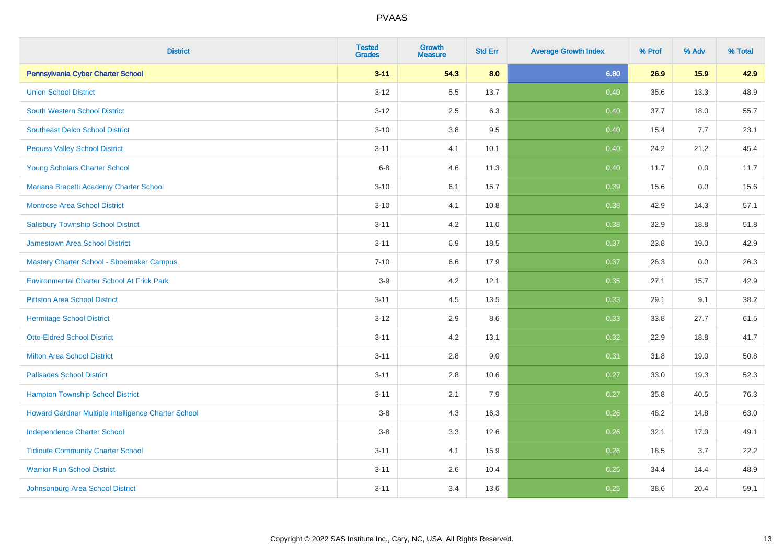| <b>District</b>                                     | <b>Tested</b><br><b>Grades</b> | <b>Growth</b><br><b>Measure</b> | <b>Std Err</b> | <b>Average Growth Index</b> | % Prof | % Adv | % Total |
|-----------------------------------------------------|--------------------------------|---------------------------------|----------------|-----------------------------|--------|-------|---------|
| Pennsylvania Cyber Charter School                   | $3 - 11$                       | 54.3                            | 8.0            | 6.80                        | 26.9   | 15.9  | 42.9    |
| <b>Union School District</b>                        | $3 - 12$                       | 5.5                             | 13.7           | 0.40                        | 35.6   | 13.3  | 48.9    |
| <b>South Western School District</b>                | $3 - 12$                       | 2.5                             | 6.3            | 0.40                        | 37.7   | 18.0  | 55.7    |
| <b>Southeast Delco School District</b>              | $3 - 10$                       | 3.8                             | 9.5            | 0.40                        | 15.4   | 7.7   | 23.1    |
| <b>Pequea Valley School District</b>                | $3 - 11$                       | 4.1                             | 10.1           | 0.40                        | 24.2   | 21.2  | 45.4    |
| Young Scholars Charter School                       | $6 - 8$                        | 4.6                             | 11.3           | 0.40                        | 11.7   | 0.0   | 11.7    |
| Mariana Bracetti Academy Charter School             | $3 - 10$                       | 6.1                             | 15.7           | 0.39                        | 15.6   | 0.0   | 15.6    |
| <b>Montrose Area School District</b>                | $3 - 10$                       | 4.1                             | 10.8           | 0.38                        | 42.9   | 14.3  | 57.1    |
| <b>Salisbury Township School District</b>           | $3 - 11$                       | 4.2                             | 11.0           | 0.38                        | 32.9   | 18.8  | 51.8    |
| <b>Jamestown Area School District</b>               | $3 - 11$                       | 6.9                             | 18.5           | 0.37                        | 23.8   | 19.0  | 42.9    |
| Mastery Charter School - Shoemaker Campus           | $7 - 10$                       | 6.6                             | 17.9           | 0.37                        | 26.3   | 0.0   | 26.3    |
| <b>Environmental Charter School At Frick Park</b>   | $3-9$                          | 4.2                             | 12.1           | 0.35                        | 27.1   | 15.7  | 42.9    |
| <b>Pittston Area School District</b>                | $3 - 11$                       | 4.5                             | 13.5           | 0.33                        | 29.1   | 9.1   | 38.2    |
| <b>Hermitage School District</b>                    | $3 - 12$                       | 2.9                             | 8.6            | 0.33                        | 33.8   | 27.7  | 61.5    |
| <b>Otto-Eldred School District</b>                  | $3 - 11$                       | 4.2                             | 13.1           | 0.32                        | 22.9   | 18.8  | 41.7    |
| <b>Milton Area School District</b>                  | $3 - 11$                       | $2.8\,$                         | 9.0            | 0.31                        | 31.8   | 19.0  | 50.8    |
| <b>Palisades School District</b>                    | $3 - 11$                       | 2.8                             | 10.6           | 0.27                        | 33.0   | 19.3  | 52.3    |
| <b>Hampton Township School District</b>             | $3 - 11$                       | 2.1                             | 7.9            | 0.27                        | 35.8   | 40.5  | 76.3    |
| Howard Gardner Multiple Intelligence Charter School | $3-8$                          | 4.3                             | 16.3           | 0.26                        | 48.2   | 14.8  | 63.0    |
| <b>Independence Charter School</b>                  | $3-8$                          | 3.3                             | 12.6           | 0.26                        | 32.1   | 17.0  | 49.1    |
| <b>Tidioute Community Charter School</b>            | $3 - 11$                       | 4.1                             | 15.9           | 0.26                        | 18.5   | 3.7   | 22.2    |
| <b>Warrior Run School District</b>                  | $3 - 11$                       | 2.6                             | 10.4           | 0.25                        | 34.4   | 14.4  | 48.9    |
| Johnsonburg Area School District                    | $3 - 11$                       | 3.4                             | 13.6           | 0.25                        | 38.6   | 20.4  | 59.1    |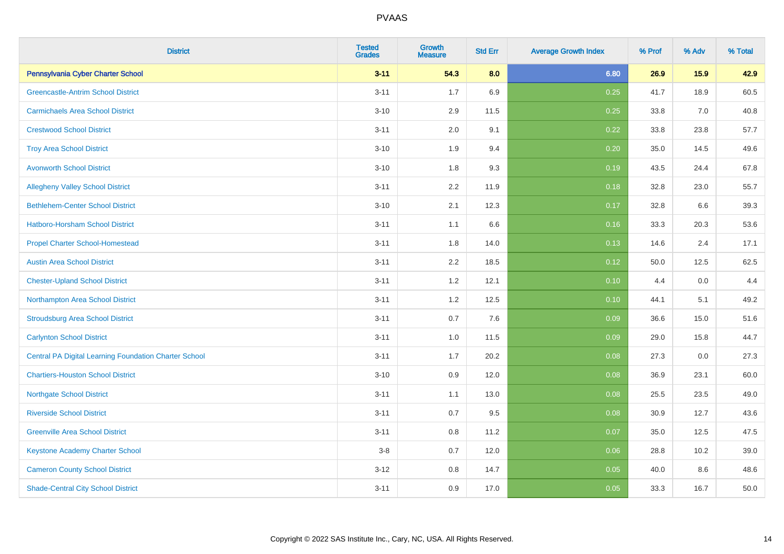| <b>District</b>                                              | <b>Tested</b><br><b>Grades</b> | <b>Growth</b><br><b>Measure</b> | <b>Std Err</b> | <b>Average Growth Index</b> | % Prof | % Adv | % Total |
|--------------------------------------------------------------|--------------------------------|---------------------------------|----------------|-----------------------------|--------|-------|---------|
| Pennsylvania Cyber Charter School                            | $3 - 11$                       | 54.3                            | 8.0            | 6.80                        | 26.9   | 15.9  | 42.9    |
| <b>Greencastle-Antrim School District</b>                    | $3 - 11$                       | 1.7                             | 6.9            | 0.25                        | 41.7   | 18.9  | 60.5    |
| <b>Carmichaels Area School District</b>                      | $3 - 10$                       | 2.9                             | 11.5           | 0.25                        | 33.8   | 7.0   | 40.8    |
| <b>Crestwood School District</b>                             | $3 - 11$                       | 2.0                             | 9.1            | 0.22                        | 33.8   | 23.8  | 57.7    |
| <b>Troy Area School District</b>                             | $3 - 10$                       | 1.9                             | 9.4            | 0.20                        | 35.0   | 14.5  | 49.6    |
| <b>Avonworth School District</b>                             | $3 - 10$                       | $1.8\,$                         | 9.3            | 0.19                        | 43.5   | 24.4  | 67.8    |
| <b>Allegheny Valley School District</b>                      | $3 - 11$                       | 2.2                             | 11.9           | 0.18                        | 32.8   | 23.0  | 55.7    |
| <b>Bethlehem-Center School District</b>                      | $3 - 10$                       | 2.1                             | 12.3           | 0.17                        | 32.8   | 6.6   | 39.3    |
| Hatboro-Horsham School District                              | $3 - 11$                       | 1.1                             | 6.6            | 0.16                        | 33.3   | 20.3  | 53.6    |
| <b>Propel Charter School-Homestead</b>                       | $3 - 11$                       | 1.8                             | 14.0           | 0.13                        | 14.6   | 2.4   | 17.1    |
| <b>Austin Area School District</b>                           | $3 - 11$                       | 2.2                             | 18.5           | 0.12                        | 50.0   | 12.5  | 62.5    |
| <b>Chester-Upland School District</b>                        | $3 - 11$                       | $1.2$                           | 12.1           | 0.10                        | 4.4    | 0.0   | 4.4     |
| Northampton Area School District                             | $3 - 11$                       | 1.2                             | 12.5           | 0.10                        | 44.1   | 5.1   | 49.2    |
| <b>Stroudsburg Area School District</b>                      | $3 - 11$                       | 0.7                             | 7.6            | 0.09                        | 36.6   | 15.0  | 51.6    |
| <b>Carlynton School District</b>                             | $3 - 11$                       | 1.0                             | 11.5           | 0.09                        | 29.0   | 15.8  | 44.7    |
| <b>Central PA Digital Learning Foundation Charter School</b> | $3 - 11$                       | 1.7                             | 20.2           | 0.08                        | 27.3   | 0.0   | 27.3    |
| <b>Chartiers-Houston School District</b>                     | $3 - 10$                       | 0.9                             | 12.0           | 0.08                        | 36.9   | 23.1  | 60.0    |
| <b>Northgate School District</b>                             | $3 - 11$                       | 1.1                             | 13.0           | 0.08                        | 25.5   | 23.5  | 49.0    |
| <b>Riverside School District</b>                             | $3 - 11$                       | 0.7                             | 9.5            | 0.08                        | 30.9   | 12.7  | 43.6    |
| <b>Greenville Area School District</b>                       | $3 - 11$                       | 0.8                             | 11.2           | 0.07                        | 35.0   | 12.5  | 47.5    |
| Keystone Academy Charter School                              | $3-8$                          | 0.7                             | 12.0           | 0.06                        | 28.8   | 10.2  | 39.0    |
| <b>Cameron County School District</b>                        | $3 - 12$                       | 0.8                             | 14.7           | 0.05                        | 40.0   | 8.6   | 48.6    |
| <b>Shade-Central City School District</b>                    | $3 - 11$                       | 0.9                             | 17.0           | 0.05                        | 33.3   | 16.7  | 50.0    |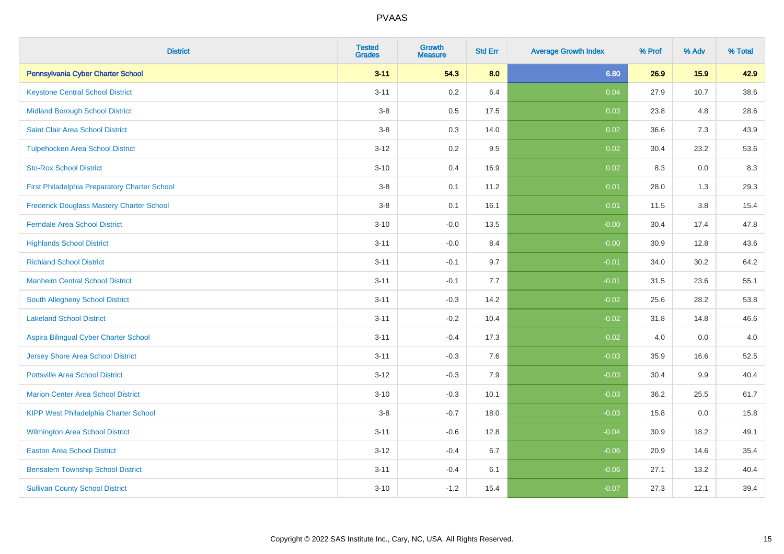| <b>District</b>                                  | <b>Tested</b><br><b>Grades</b> | Growth<br><b>Measure</b> | <b>Std Err</b> | <b>Average Growth Index</b> | % Prof | % Adv | % Total |
|--------------------------------------------------|--------------------------------|--------------------------|----------------|-----------------------------|--------|-------|---------|
| Pennsylvania Cyber Charter School                | $3 - 11$                       | 54.3                     | 8.0            | 6.80                        | 26.9   | 15.9  | 42.9    |
| <b>Keystone Central School District</b>          | $3 - 11$                       | 0.2                      | 6.4            | 0.04                        | 27.9   | 10.7  | 38.6    |
| <b>Midland Borough School District</b>           | $3-8$                          | 0.5                      | 17.5           | 0.03                        | 23.8   | 4.8   | 28.6    |
| Saint Clair Area School District                 | $3-8$                          | 0.3                      | 14.0           | 0.02                        | 36.6   | 7.3   | 43.9    |
| <b>Tulpehocken Area School District</b>          | $3 - 12$                       | 0.2                      | 9.5            | 0.02                        | 30.4   | 23.2  | 53.6    |
| <b>Sto-Rox School District</b>                   | $3 - 10$                       | 0.4                      | 16.9           | 0.02                        | 8.3    | 0.0   | $8.3\,$ |
| First Philadelphia Preparatory Charter School    | $3 - 8$                        | 0.1                      | 11.2           | 0.01                        | 28.0   | 1.3   | 29.3    |
| <b>Frederick Douglass Mastery Charter School</b> | $3 - 8$                        | 0.1                      | 16.1           | 0.01                        | 11.5   | 3.8   | 15.4    |
| Ferndale Area School District                    | $3 - 10$                       | $-0.0$                   | 13.5           | $-0.00$                     | 30.4   | 17.4  | 47.8    |
| <b>Highlands School District</b>                 | $3 - 11$                       | $-0.0$                   | 8.4            | $-0.00$                     | 30.9   | 12.8  | 43.6    |
| <b>Richland School District</b>                  | $3 - 11$                       | $-0.1$                   | 9.7            | $-0.01$                     | 34.0   | 30.2  | 64.2    |
| <b>Manheim Central School District</b>           | $3 - 11$                       | $-0.1$                   | 7.7            | $-0.01$                     | 31.5   | 23.6  | 55.1    |
| South Allegheny School District                  | $3 - 11$                       | $-0.3$                   | 14.2           | $-0.02$                     | 25.6   | 28.2  | 53.8    |
| <b>Lakeland School District</b>                  | $3 - 11$                       | $-0.2$                   | 10.4           | $-0.02$                     | 31.8   | 14.8  | 46.6    |
| Aspira Bilingual Cyber Charter School            | $3 - 11$                       | $-0.4$                   | 17.3           | $-0.02$                     | 4.0    | 0.0   | 4.0     |
| Jersey Shore Area School District                | $3 - 11$                       | $-0.3$                   | 7.6            | $-0.03$                     | 35.9   | 16.6  | 52.5    |
| <b>Pottsville Area School District</b>           | $3 - 12$                       | $-0.3$                   | 7.9            | $-0.03$                     | 30.4   | 9.9   | 40.4    |
| <b>Marion Center Area School District</b>        | $3 - 10$                       | $-0.3$                   | 10.1           | $-0.03$                     | 36.2   | 25.5  | 61.7    |
| <b>KIPP West Philadelphia Charter School</b>     | $3-8$                          | $-0.7$                   | 18.0           | $-0.03$                     | 15.8   | 0.0   | 15.8    |
| Wilmington Area School District                  | $3 - 11$                       | $-0.6$                   | 12.8           | $-0.04$                     | 30.9   | 18.2  | 49.1    |
| <b>Easton Area School District</b>               | $3 - 12$                       | $-0.4$                   | 6.7            | $-0.06$                     | 20.9   | 14.6  | 35.4    |
| <b>Bensalem Township School District</b>         | $3 - 11$                       | $-0.4$                   | 6.1            | $-0.06$                     | 27.1   | 13.2  | 40.4    |
| <b>Sullivan County School District</b>           | $3 - 10$                       | $-1.2$                   | 15.4           | $-0.07$                     | 27.3   | 12.1  | 39.4    |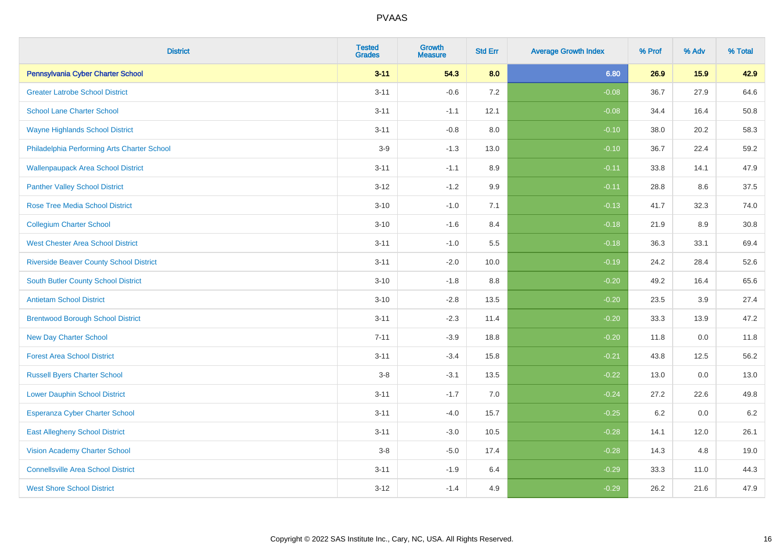| <b>District</b>                                | <b>Tested</b><br><b>Grades</b> | <b>Growth</b><br><b>Measure</b> | <b>Std Err</b> | <b>Average Growth Index</b> | % Prof | % Adv | % Total |
|------------------------------------------------|--------------------------------|---------------------------------|----------------|-----------------------------|--------|-------|---------|
| Pennsylvania Cyber Charter School              | $3 - 11$                       | 54.3                            | 8.0            | 6.80                        | 26.9   | 15.9  | 42.9    |
| <b>Greater Latrobe School District</b>         | $3 - 11$                       | $-0.6$                          | 7.2            | $-0.08$                     | 36.7   | 27.9  | 64.6    |
| <b>School Lane Charter School</b>              | $3 - 11$                       | $-1.1$                          | 12.1           | $-0.08$                     | 34.4   | 16.4  | 50.8    |
| <b>Wayne Highlands School District</b>         | $3 - 11$                       | $-0.8$                          | 8.0            | $-0.10$                     | 38.0   | 20.2  | 58.3    |
| Philadelphia Performing Arts Charter School    | $3-9$                          | $-1.3$                          | 13.0           | $-0.10$                     | 36.7   | 22.4  | 59.2    |
| <b>Wallenpaupack Area School District</b>      | $3 - 11$                       | $-1.1$                          | 8.9            | $-0.11$                     | 33.8   | 14.1  | 47.9    |
| <b>Panther Valley School District</b>          | $3 - 12$                       | $-1.2$                          | 9.9            | $-0.11$                     | 28.8   | 8.6   | 37.5    |
| <b>Rose Tree Media School District</b>         | $3 - 10$                       | $-1.0$                          | 7.1            | $-0.13$                     | 41.7   | 32.3  | 74.0    |
| <b>Collegium Charter School</b>                | $3 - 10$                       | $-1.6$                          | 8.4            | $-0.18$                     | 21.9   | 8.9   | 30.8    |
| <b>West Chester Area School District</b>       | $3 - 11$                       | $-1.0$                          | 5.5            | $-0.18$                     | 36.3   | 33.1  | 69.4    |
| <b>Riverside Beaver County School District</b> | $3 - 11$                       | $-2.0$                          | 10.0           | $-0.19$                     | 24.2   | 28.4  | 52.6    |
| South Butler County School District            | $3 - 10$                       | $-1.8$                          | 8.8            | $-0.20$                     | 49.2   | 16.4  | 65.6    |
| <b>Antietam School District</b>                | $3 - 10$                       | $-2.8$                          | 13.5           | $-0.20$                     | 23.5   | 3.9   | 27.4    |
| <b>Brentwood Borough School District</b>       | $3 - 11$                       | $-2.3$                          | 11.4           | $-0.20$                     | 33.3   | 13.9  | 47.2    |
| <b>New Day Charter School</b>                  | $7 - 11$                       | $-3.9$                          | 18.8           | $-0.20$                     | 11.8   | 0.0   | 11.8    |
| <b>Forest Area School District</b>             | $3 - 11$                       | $-3.4$                          | 15.8           | $-0.21$                     | 43.8   | 12.5  | 56.2    |
| <b>Russell Byers Charter School</b>            | $3-8$                          | $-3.1$                          | 13.5           | $-0.22$                     | 13.0   | 0.0   | 13.0    |
| <b>Lower Dauphin School District</b>           | $3 - 11$                       | $-1.7$                          | 7.0            | $-0.24$                     | 27.2   | 22.6  | 49.8    |
| Esperanza Cyber Charter School                 | $3 - 11$                       | $-4.0$                          | 15.7           | $-0.25$                     | 6.2    | 0.0   | $6.2\,$ |
| <b>East Allegheny School District</b>          | $3 - 11$                       | $-3.0$                          | 10.5           | $-0.28$                     | 14.1   | 12.0  | 26.1    |
| <b>Vision Academy Charter School</b>           | $3-8$                          | $-5.0$                          | 17.4           | $-0.28$                     | 14.3   | 4.8   | 19.0    |
| <b>Connellsville Area School District</b>      | $3 - 11$                       | $-1.9$                          | 6.4            | $-0.29$                     | 33.3   | 11.0  | 44.3    |
| <b>West Shore School District</b>              | $3 - 12$                       | $-1.4$                          | 4.9            | $-0.29$                     | 26.2   | 21.6  | 47.9    |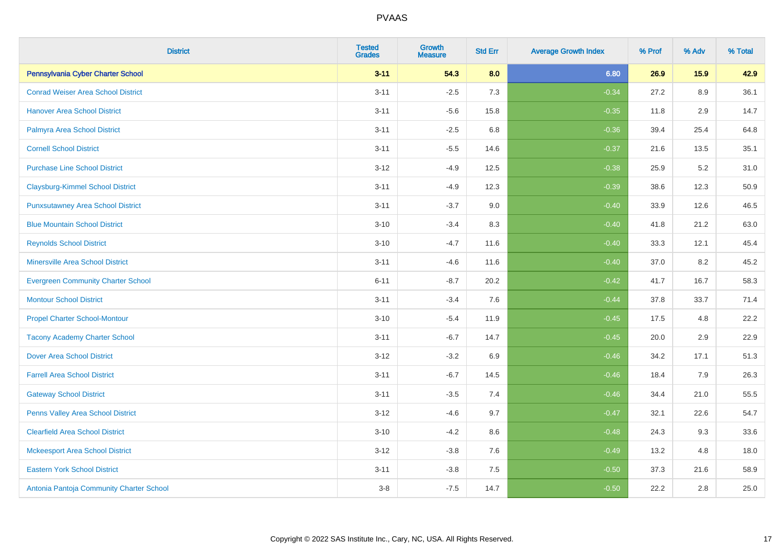| <b>District</b>                           | <b>Tested</b><br><b>Grades</b> | Growth<br><b>Measure</b> | <b>Std Err</b> | <b>Average Growth Index</b> | % Prof | % Adv   | % Total |
|-------------------------------------------|--------------------------------|--------------------------|----------------|-----------------------------|--------|---------|---------|
| Pennsylvania Cyber Charter School         | $3 - 11$                       | 54.3                     | 8.0            | 6.80                        | 26.9   | 15.9    | 42.9    |
| <b>Conrad Weiser Area School District</b> | $3 - 11$                       | $-2.5$                   | 7.3            | $-0.34$                     | 27.2   | 8.9     | 36.1    |
| <b>Hanover Area School District</b>       | $3 - 11$                       | $-5.6$                   | 15.8           | $-0.35$                     | 11.8   | 2.9     | 14.7    |
| Palmyra Area School District              | $3 - 11$                       | $-2.5$                   | 6.8            | $-0.36$                     | 39.4   | 25.4    | 64.8    |
| <b>Cornell School District</b>            | $3 - 11$                       | $-5.5$                   | 14.6           | $-0.37$                     | 21.6   | 13.5    | 35.1    |
| <b>Purchase Line School District</b>      | $3 - 12$                       | $-4.9$                   | 12.5           | $-0.38$                     | 25.9   | 5.2     | 31.0    |
| <b>Claysburg-Kimmel School District</b>   | $3 - 11$                       | $-4.9$                   | 12.3           | $-0.39$                     | 38.6   | 12.3    | 50.9    |
| <b>Punxsutawney Area School District</b>  | $3 - 11$                       | $-3.7$                   | 9.0            | $-0.40$                     | 33.9   | 12.6    | 46.5    |
| <b>Blue Mountain School District</b>      | $3 - 10$                       | $-3.4$                   | 8.3            | $-0.40$                     | 41.8   | 21.2    | 63.0    |
| <b>Reynolds School District</b>           | $3 - 10$                       | $-4.7$                   | 11.6           | $-0.40$                     | 33.3   | 12.1    | 45.4    |
| <b>Minersville Area School District</b>   | $3 - 11$                       | $-4.6$                   | 11.6           | $-0.40$                     | 37.0   | 8.2     | 45.2    |
| <b>Evergreen Community Charter School</b> | $6 - 11$                       | $-8.7$                   | 20.2           | $-0.42$                     | 41.7   | 16.7    | 58.3    |
| <b>Montour School District</b>            | $3 - 11$                       | $-3.4$                   | 7.6            | $-0.44$                     | 37.8   | 33.7    | 71.4    |
| <b>Propel Charter School-Montour</b>      | $3 - 10$                       | $-5.4$                   | 11.9           | $-0.45$                     | 17.5   | 4.8     | 22.2    |
| <b>Tacony Academy Charter School</b>      | $3 - 11$                       | $-6.7$                   | 14.7           | $-0.45$                     | 20.0   | 2.9     | 22.9    |
| <b>Dover Area School District</b>         | $3 - 12$                       | $-3.2$                   | 6.9            | $-0.46$                     | 34.2   | 17.1    | 51.3    |
| <b>Farrell Area School District</b>       | $3 - 11$                       | $-6.7$                   | 14.5           | $-0.46$                     | 18.4   | 7.9     | 26.3    |
| <b>Gateway School District</b>            | $3 - 11$                       | $-3.5$                   | 7.4            | $-0.46$                     | 34.4   | 21.0    | 55.5    |
| Penns Valley Area School District         | $3 - 12$                       | $-4.6$                   | 9.7            | $-0.47$                     | 32.1   | 22.6    | 54.7    |
| <b>Clearfield Area School District</b>    | $3 - 10$                       | $-4.2$                   | 8.6            | $-0.48$                     | 24.3   | 9.3     | 33.6    |
| <b>Mckeesport Area School District</b>    | $3-12$                         | $-3.8$                   | 7.6            | $-0.49$                     | 13.2   | 4.8     | 18.0    |
| <b>Eastern York School District</b>       | $3 - 11$                       | $-3.8$                   | 7.5            | $-0.50$                     | 37.3   | 21.6    | 58.9    |
| Antonia Pantoja Community Charter School  | $3 - 8$                        | $-7.5$                   | 14.7           | $-0.50$                     | 22.2   | $2.8\,$ | 25.0    |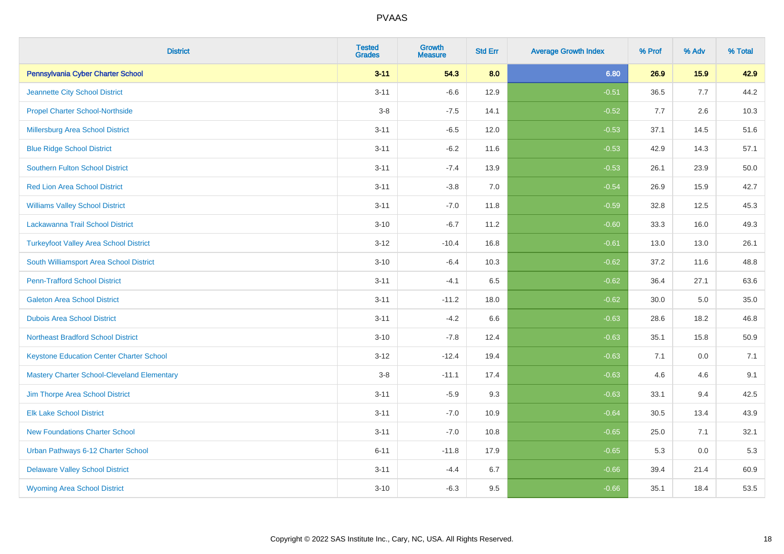| <b>District</b>                                    | <b>Tested</b><br><b>Grades</b> | <b>Growth</b><br><b>Measure</b> | <b>Std Err</b> | <b>Average Growth Index</b> | % Prof | % Adv | % Total |
|----------------------------------------------------|--------------------------------|---------------------------------|----------------|-----------------------------|--------|-------|---------|
| Pennsylvania Cyber Charter School                  | $3 - 11$                       | 54.3                            | 8.0            | 6.80                        | 26.9   | 15.9  | 42.9    |
| Jeannette City School District                     | $3 - 11$                       | $-6.6$                          | 12.9           | $-0.51$                     | 36.5   | 7.7   | 44.2    |
| <b>Propel Charter School-Northside</b>             | $3-8$                          | $-7.5$                          | 14.1           | $-0.52$                     | 7.7    | 2.6   | 10.3    |
| Millersburg Area School District                   | $3 - 11$                       | $-6.5$                          | 12.0           | $-0.53$                     | 37.1   | 14.5  | 51.6    |
| <b>Blue Ridge School District</b>                  | $3 - 11$                       | $-6.2$                          | 11.6           | $-0.53$                     | 42.9   | 14.3  | 57.1    |
| <b>Southern Fulton School District</b>             | $3 - 11$                       | $-7.4$                          | 13.9           | $-0.53$                     | 26.1   | 23.9  | 50.0    |
| <b>Red Lion Area School District</b>               | $3 - 11$                       | $-3.8$                          | 7.0            | $-0.54$                     | 26.9   | 15.9  | 42.7    |
| <b>Williams Valley School District</b>             | $3 - 11$                       | $-7.0$                          | 11.8           | $-0.59$                     | 32.8   | 12.5  | 45.3    |
| Lackawanna Trail School District                   | $3 - 10$                       | $-6.7$                          | 11.2           | $-0.60$                     | 33.3   | 16.0  | 49.3    |
| <b>Turkeyfoot Valley Area School District</b>      | $3 - 12$                       | $-10.4$                         | 16.8           | $-0.61$                     | 13.0   | 13.0  | 26.1    |
| South Williamsport Area School District            | $3 - 10$                       | $-6.4$                          | 10.3           | $-0.62$                     | 37.2   | 11.6  | 48.8    |
| <b>Penn-Trafford School District</b>               | $3 - 11$                       | $-4.1$                          | 6.5            | $-0.62$                     | 36.4   | 27.1  | 63.6    |
| <b>Galeton Area School District</b>                | $3 - 11$                       | $-11.2$                         | 18.0           | $-0.62$                     | 30.0   | 5.0   | 35.0    |
| <b>Dubois Area School District</b>                 | $3 - 11$                       | $-4.2$                          | 6.6            | $-0.63$                     | 28.6   | 18.2  | 46.8    |
| <b>Northeast Bradford School District</b>          | $3 - 10$                       | $-7.8$                          | 12.4           | $-0.63$                     | 35.1   | 15.8  | 50.9    |
| <b>Keystone Education Center Charter School</b>    | $3 - 12$                       | $-12.4$                         | 19.4           | $-0.63$                     | 7.1    | 0.0   | 7.1     |
| <b>Mastery Charter School-Cleveland Elementary</b> | $3-8$                          | $-11.1$                         | 17.4           | $-0.63$                     | 4.6    | 4.6   | 9.1     |
| Jim Thorpe Area School District                    | $3 - 11$                       | $-5.9$                          | 9.3            | $-0.63$                     | 33.1   | 9.4   | 42.5    |
| <b>Elk Lake School District</b>                    | $3 - 11$                       | $-7.0$                          | 10.9           | $-0.64$                     | 30.5   | 13.4  | 43.9    |
| <b>New Foundations Charter School</b>              | $3 - 11$                       | $-7.0$                          | 10.8           | $-0.65$                     | 25.0   | 7.1   | 32.1    |
| Urban Pathways 6-12 Charter School                 | $6 - 11$                       | $-11.8$                         | 17.9           | $-0.65$                     | 5.3    | 0.0   | 5.3     |
| <b>Delaware Valley School District</b>             | $3 - 11$                       | $-4.4$                          | 6.7            | $-0.66$                     | 39.4   | 21.4  | 60.9    |
| <b>Wyoming Area School District</b>                | $3 - 10$                       | $-6.3$                          | 9.5            | $-0.66$                     | 35.1   | 18.4  | 53.5    |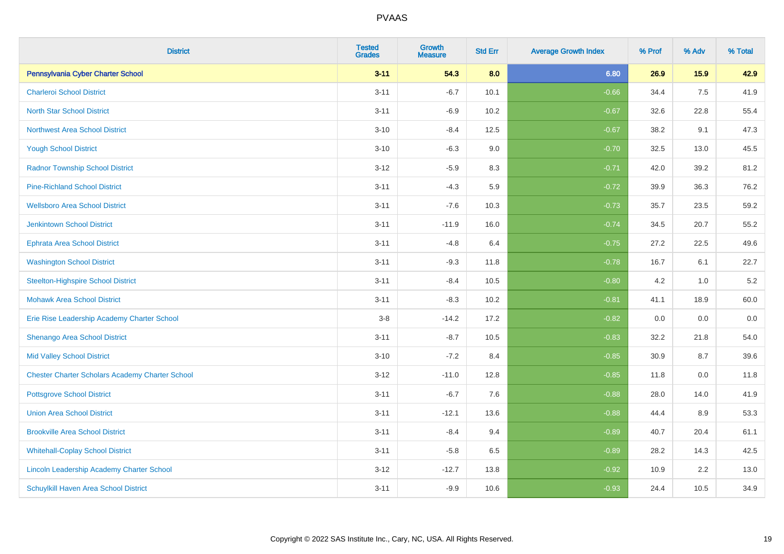| <b>District</b>                                        | <b>Tested</b><br><b>Grades</b> | Growth<br><b>Measure</b> | <b>Std Err</b> | <b>Average Growth Index</b> | % Prof | % Adv | % Total |
|--------------------------------------------------------|--------------------------------|--------------------------|----------------|-----------------------------|--------|-------|---------|
| Pennsylvania Cyber Charter School                      | $3 - 11$                       | 54.3                     | 8.0            | 6.80                        | 26.9   | 15.9  | 42.9    |
| <b>Charleroi School District</b>                       | $3 - 11$                       | $-6.7$                   | 10.1           | $-0.66$                     | 34.4   | 7.5   | 41.9    |
| <b>North Star School District</b>                      | $3 - 11$                       | $-6.9$                   | 10.2           | $-0.67$                     | 32.6   | 22.8  | 55.4    |
| <b>Northwest Area School District</b>                  | $3 - 10$                       | $-8.4$                   | 12.5           | $-0.67$                     | 38.2   | 9.1   | 47.3    |
| <b>Yough School District</b>                           | $3 - 10$                       | $-6.3$                   | 9.0            | $-0.70$                     | 32.5   | 13.0  | 45.5    |
| <b>Radnor Township School District</b>                 | $3 - 12$                       | $-5.9$                   | 8.3            | $-0.71$                     | 42.0   | 39.2  | 81.2    |
| <b>Pine-Richland School District</b>                   | $3 - 11$                       | $-4.3$                   | 5.9            | $-0.72$                     | 39.9   | 36.3  | 76.2    |
| <b>Wellsboro Area School District</b>                  | $3 - 11$                       | $-7.6$                   | 10.3           | $-0.73$                     | 35.7   | 23.5  | 59.2    |
| Jenkintown School District                             | $3 - 11$                       | $-11.9$                  | 16.0           | $-0.74$                     | 34.5   | 20.7  | 55.2    |
| <b>Ephrata Area School District</b>                    | $3 - 11$                       | $-4.8$                   | 6.4            | $-0.75$                     | 27.2   | 22.5  | 49.6    |
| <b>Washington School District</b>                      | $3 - 11$                       | $-9.3$                   | 11.8           | $-0.78$                     | 16.7   | 6.1   | 22.7    |
| <b>Steelton-Highspire School District</b>              | $3 - 11$                       | $-8.4$                   | 10.5           | $-0.80$                     | 4.2    | 1.0   | $5.2\,$ |
| <b>Mohawk Area School District</b>                     | $3 - 11$                       | $-8.3$                   | 10.2           | $-0.81$                     | 41.1   | 18.9  | 60.0    |
| Erie Rise Leadership Academy Charter School            | $3 - 8$                        | $-14.2$                  | 17.2           | $-0.82$                     | 0.0    | 0.0   | 0.0     |
| Shenango Area School District                          | $3 - 11$                       | $-8.7$                   | 10.5           | $-0.83$                     | 32.2   | 21.8  | 54.0    |
| <b>Mid Valley School District</b>                      | $3 - 10$                       | $-7.2$                   | 8.4            | $-0.85$                     | 30.9   | 8.7   | 39.6    |
| <b>Chester Charter Scholars Academy Charter School</b> | $3 - 12$                       | $-11.0$                  | 12.8           | $-0.85$                     | 11.8   | 0.0   | 11.8    |
| <b>Pottsgrove School District</b>                      | $3 - 11$                       | $-6.7$                   | 7.6            | $-0.88$                     | 28.0   | 14.0  | 41.9    |
| <b>Union Area School District</b>                      | $3 - 11$                       | $-12.1$                  | 13.6           | $-0.88$                     | 44.4   | 8.9   | 53.3    |
| <b>Brookville Area School District</b>                 | $3 - 11$                       | $-8.4$                   | 9.4            | $-0.89$                     | 40.7   | 20.4  | 61.1    |
| <b>Whitehall-Coplay School District</b>                | $3 - 11$                       | $-5.8$                   | 6.5            | $-0.89$                     | 28.2   | 14.3  | 42.5    |
| Lincoln Leadership Academy Charter School              | $3-12$                         | $-12.7$                  | 13.8           | $-0.92$                     | 10.9   | 2.2   | 13.0    |
| <b>Schuylkill Haven Area School District</b>           | $3 - 11$                       | $-9.9$                   | 10.6           | $-0.93$                     | 24.4   | 10.5  | 34.9    |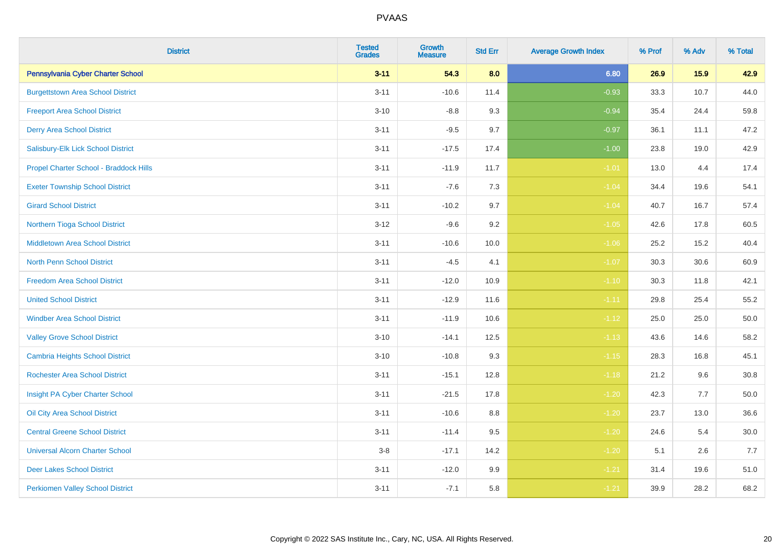| <b>District</b>                          | <b>Tested</b><br><b>Grades</b> | Growth<br><b>Measure</b> | <b>Std Err</b> | <b>Average Growth Index</b> | % Prof | % Adv | % Total |
|------------------------------------------|--------------------------------|--------------------------|----------------|-----------------------------|--------|-------|---------|
| Pennsylvania Cyber Charter School        | $3 - 11$                       | 54.3                     | 8.0            | 6.80                        | 26.9   | 15.9  | 42.9    |
| <b>Burgettstown Area School District</b> | $3 - 11$                       | $-10.6$                  | 11.4           | $-0.93$                     | 33.3   | 10.7  | 44.0    |
| <b>Freeport Area School District</b>     | $3 - 10$                       | $-8.8$                   | 9.3            | $-0.94$                     | 35.4   | 24.4  | 59.8    |
| <b>Derry Area School District</b>        | $3 - 11$                       | $-9.5$                   | 9.7            | $-0.97$                     | 36.1   | 11.1  | 47.2    |
| Salisbury-Elk Lick School District       | $3 - 11$                       | $-17.5$                  | 17.4           | $-1.00$                     | 23.8   | 19.0  | 42.9    |
| Propel Charter School - Braddock Hills   | $3 - 11$                       | $-11.9$                  | 11.7           | $-1.01$                     | 13.0   | 4.4   | 17.4    |
| <b>Exeter Township School District</b>   | $3 - 11$                       | $-7.6$                   | 7.3            | $-1.04$                     | 34.4   | 19.6  | 54.1    |
| <b>Girard School District</b>            | $3 - 11$                       | $-10.2$                  | 9.7            | $-1.04$                     | 40.7   | 16.7  | 57.4    |
| Northern Tioga School District           | $3 - 12$                       | $-9.6$                   | 9.2            | $-1.05$                     | 42.6   | 17.8  | 60.5    |
| <b>Middletown Area School District</b>   | $3 - 11$                       | $-10.6$                  | 10.0           | $-1.06$                     | 25.2   | 15.2  | 40.4    |
| North Penn School District               | $3 - 11$                       | $-4.5$                   | 4.1            | $-1.07$                     | 30.3   | 30.6  | 60.9    |
| <b>Freedom Area School District</b>      | $3 - 11$                       | $-12.0$                  | 10.9           | $-1.10$                     | 30.3   | 11.8  | 42.1    |
| <b>United School District</b>            | $3 - 11$                       | $-12.9$                  | 11.6           | $-1.11$                     | 29.8   | 25.4  | 55.2    |
| <b>Windber Area School District</b>      | $3 - 11$                       | $-11.9$                  | 10.6           | $-1.12$                     | 25.0   | 25.0  | 50.0    |
| <b>Valley Grove School District</b>      | $3 - 10$                       | $-14.1$                  | 12.5           | $-1.13$                     | 43.6   | 14.6  | 58.2    |
| <b>Cambria Heights School District</b>   | $3 - 10$                       | $-10.8$                  | 9.3            | $-1.15$                     | 28.3   | 16.8  | 45.1    |
| <b>Rochester Area School District</b>    | $3 - 11$                       | $-15.1$                  | 12.8           | $-1.18$                     | 21.2   | 9.6   | 30.8    |
| Insight PA Cyber Charter School          | $3 - 11$                       | $-21.5$                  | 17.8           | $-1.20$                     | 42.3   | 7.7   | 50.0    |
| Oil City Area School District            | $3 - 11$                       | $-10.6$                  | 8.8            | $-1.20$                     | 23.7   | 13.0  | 36.6    |
| <b>Central Greene School District</b>    | $3 - 11$                       | $-11.4$                  | 9.5            | $-1.20$                     | 24.6   | 5.4   | 30.0    |
| <b>Universal Alcorn Charter School</b>   | $3-8$                          | $-17.1$                  | 14.2           | $-1.20$                     | 5.1    | 2.6   | 7.7     |
| <b>Deer Lakes School District</b>        | $3 - 11$                       | $-12.0$                  | 9.9            | $-1.21$                     | 31.4   | 19.6  | 51.0    |
| <b>Perkiomen Valley School District</b>  | $3 - 11$                       | $-7.1$                   | 5.8            | $-1.21$                     | 39.9   | 28.2  | 68.2    |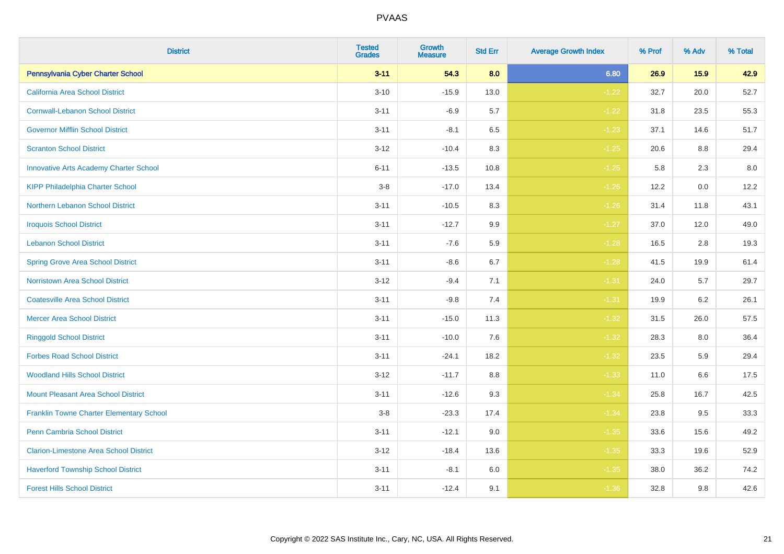| <b>District</b>                                 | <b>Tested</b><br><b>Grades</b> | Growth<br><b>Measure</b> | <b>Std Err</b> | <b>Average Growth Index</b> | % Prof | % Adv | % Total |
|-------------------------------------------------|--------------------------------|--------------------------|----------------|-----------------------------|--------|-------|---------|
| Pennsylvania Cyber Charter School               | $3 - 11$                       | 54.3                     | 8.0            | 6.80                        | 26.9   | 15.9  | 42.9    |
| California Area School District                 | $3 - 10$                       | $-15.9$                  | 13.0           | $-1.22$                     | 32.7   | 20.0  | 52.7    |
| <b>Cornwall-Lebanon School District</b>         | $3 - 11$                       | $-6.9$                   | 5.7            | $-1.22$                     | 31.8   | 23.5  | 55.3    |
| <b>Governor Mifflin School District</b>         | $3 - 11$                       | $-8.1$                   | 6.5            | $-1.23$                     | 37.1   | 14.6  | 51.7    |
| <b>Scranton School District</b>                 | $3 - 12$                       | $-10.4$                  | 8.3            | $-1.25$                     | 20.6   | 8.8   | 29.4    |
| <b>Innovative Arts Academy Charter School</b>   | $6 - 11$                       | $-13.5$                  | 10.8           | $-1.25$                     | 5.8    | 2.3   | $8.0\,$ |
| <b>KIPP Philadelphia Charter School</b>         | $3-8$                          | $-17.0$                  | 13.4           | $-1.26$                     | 12.2   | 0.0   | 12.2    |
| <b>Northern Lebanon School District</b>         | $3 - 11$                       | $-10.5$                  | 8.3            | $-1.26$                     | 31.4   | 11.8  | 43.1    |
| <b>Iroquois School District</b>                 | $3 - 11$                       | $-12.7$                  | 9.9            | $-1.27$                     | 37.0   | 12.0  | 49.0    |
| <b>Lebanon School District</b>                  | $3 - 11$                       | $-7.6$                   | 5.9            | $-1.28$                     | 16.5   | 2.8   | 19.3    |
| <b>Spring Grove Area School District</b>        | $3 - 11$                       | $-8.6$                   | 6.7            | $-1.28$                     | 41.5   | 19.9  | 61.4    |
| Norristown Area School District                 | $3 - 12$                       | $-9.4$                   | 7.1            | $-1.31$                     | 24.0   | 5.7   | 29.7    |
| <b>Coatesville Area School District</b>         | $3 - 11$                       | $-9.8$                   | 7.4            | $-1.31$                     | 19.9   | 6.2   | 26.1    |
| <b>Mercer Area School District</b>              | $3 - 11$                       | $-15.0$                  | 11.3           | $-1.32$                     | 31.5   | 26.0  | 57.5    |
| <b>Ringgold School District</b>                 | $3 - 11$                       | $-10.0$                  | 7.6            | $-1.32$                     | 28.3   | 8.0   | 36.4    |
| <b>Forbes Road School District</b>              | $3 - 11$                       | $-24.1$                  | 18.2           | $-1.32$                     | 23.5   | 5.9   | 29.4    |
| <b>Woodland Hills School District</b>           | $3 - 12$                       | $-11.7$                  | 8.8            | $-1.33$                     | 11.0   | 6.6   | 17.5    |
| <b>Mount Pleasant Area School District</b>      | $3 - 11$                       | $-12.6$                  | 9.3            | $-1.34$                     | 25.8   | 16.7  | 42.5    |
| <b>Franklin Towne Charter Elementary School</b> | $3-8$                          | $-23.3$                  | 17.4           | $-1.34$                     | 23.8   | 9.5   | 33.3    |
| Penn Cambria School District                    | $3 - 11$                       | $-12.1$                  | 9.0            | $-1.35$                     | 33.6   | 15.6  | 49.2    |
| <b>Clarion-Limestone Area School District</b>   | $3 - 12$                       | $-18.4$                  | 13.6           | $-1.35$                     | 33.3   | 19.6  | 52.9    |
| <b>Haverford Township School District</b>       | $3 - 11$                       | $-8.1$                   | 6.0            | $-1.35$                     | 38.0   | 36.2  | 74.2    |
| <b>Forest Hills School District</b>             | $3 - 11$                       | $-12.4$                  | 9.1            | $-1.36$                     | 32.8   | 9.8   | 42.6    |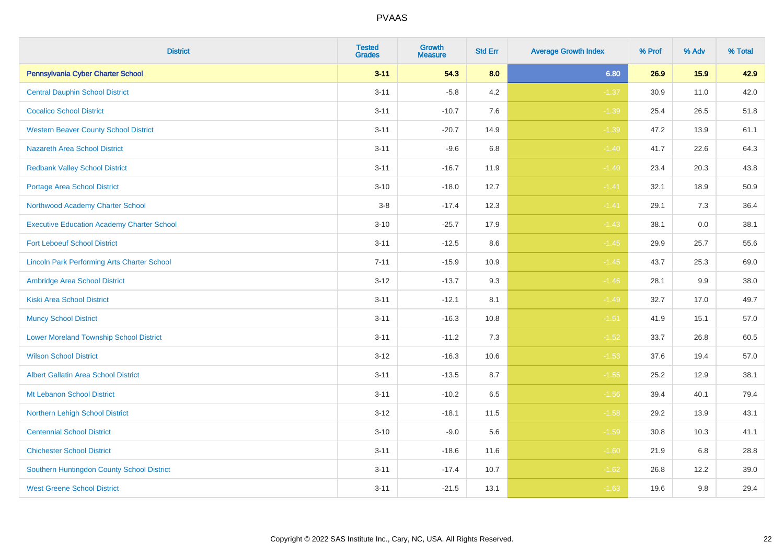| <b>District</b>                                    | <b>Tested</b><br><b>Grades</b> | Growth<br><b>Measure</b> | <b>Std Err</b> | <b>Average Growth Index</b> | % Prof | % Adv | % Total |
|----------------------------------------------------|--------------------------------|--------------------------|----------------|-----------------------------|--------|-------|---------|
| Pennsylvania Cyber Charter School                  | $3 - 11$                       | 54.3                     | 8.0            | 6.80                        | 26.9   | 15.9  | 42.9    |
| <b>Central Dauphin School District</b>             | $3 - 11$                       | $-5.8$                   | 4.2            | $-1.37$                     | 30.9   | 11.0  | 42.0    |
| <b>Cocalico School District</b>                    | $3 - 11$                       | $-10.7$                  | 7.6            | $-1.39$                     | 25.4   | 26.5  | 51.8    |
| <b>Western Beaver County School District</b>       | $3 - 11$                       | $-20.7$                  | 14.9           | $-1.39$                     | 47.2   | 13.9  | 61.1    |
| <b>Nazareth Area School District</b>               | $3 - 11$                       | $-9.6$                   | 6.8            | $-1.40$                     | 41.7   | 22.6  | 64.3    |
| <b>Redbank Valley School District</b>              | $3 - 11$                       | $-16.7$                  | 11.9           | $-1.40$                     | 23.4   | 20.3  | 43.8    |
| <b>Portage Area School District</b>                | $3 - 10$                       | $-18.0$                  | 12.7           | $-1.41$                     | 32.1   | 18.9  | 50.9    |
| Northwood Academy Charter School                   | $3-8$                          | $-17.4$                  | 12.3           | $-1.41$                     | 29.1   | 7.3   | 36.4    |
| <b>Executive Education Academy Charter School</b>  | $3 - 10$                       | $-25.7$                  | 17.9           | $-1.43$                     | 38.1   | 0.0   | 38.1    |
| <b>Fort Leboeuf School District</b>                | $3 - 11$                       | $-12.5$                  | 8.6            | $-1.45$                     | 29.9   | 25.7  | 55.6    |
| <b>Lincoln Park Performing Arts Charter School</b> | $7 - 11$                       | $-15.9$                  | 10.9           | $-1.45$                     | 43.7   | 25.3  | 69.0    |
| Ambridge Area School District                      | $3 - 12$                       | $-13.7$                  | 9.3            | $-1.46$                     | 28.1   | 9.9   | 38.0    |
| <b>Kiski Area School District</b>                  | $3 - 11$                       | $-12.1$                  | 8.1            | $-1.49$                     | 32.7   | 17.0  | 49.7    |
| <b>Muncy School District</b>                       | $3 - 11$                       | $-16.3$                  | 10.8           | $-1.51$                     | 41.9   | 15.1  | 57.0    |
| <b>Lower Moreland Township School District</b>     | $3 - 11$                       | $-11.2$                  | 7.3            | $-1.52$                     | 33.7   | 26.8  | 60.5    |
| <b>Wilson School District</b>                      | $3 - 12$                       | $-16.3$                  | 10.6           | $-1.53$                     | 37.6   | 19.4  | 57.0    |
| <b>Albert Gallatin Area School District</b>        | $3 - 11$                       | $-13.5$                  | 8.7            | $-1.55$                     | 25.2   | 12.9  | 38.1    |
| Mt Lebanon School District                         | $3 - 11$                       | $-10.2$                  | 6.5            | $-1.56$                     | 39.4   | 40.1  | 79.4    |
| Northern Lehigh School District                    | $3 - 12$                       | $-18.1$                  | 11.5           | $-1.58$                     | 29.2   | 13.9  | 43.1    |
| <b>Centennial School District</b>                  | $3 - 10$                       | $-9.0$                   | 5.6            | $-1.59$                     | 30.8   | 10.3  | 41.1    |
| <b>Chichester School District</b>                  | $3 - 11$                       | $-18.6$                  | 11.6           | $-1.60$                     | 21.9   | 6.8   | 28.8    |
| Southern Huntingdon County School District         | $3 - 11$                       | $-17.4$                  | 10.7           | $-1.62$                     | 26.8   | 12.2  | 39.0    |
| <b>West Greene School District</b>                 | $3 - 11$                       | $-21.5$                  | 13.1           | $-1.63$                     | 19.6   | 9.8   | 29.4    |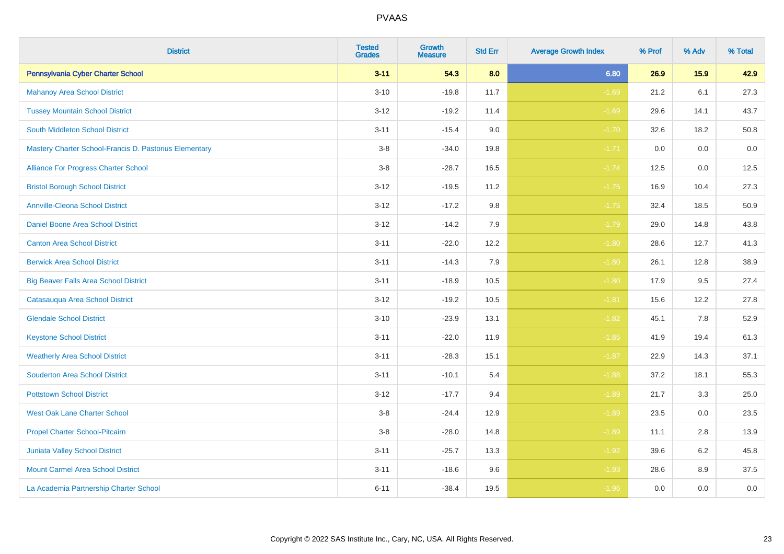| <b>District</b>                                        | <b>Tested</b><br><b>Grades</b> | <b>Growth</b><br><b>Measure</b> | <b>Std Err</b> | <b>Average Growth Index</b> | % Prof | % Adv | % Total |
|--------------------------------------------------------|--------------------------------|---------------------------------|----------------|-----------------------------|--------|-------|---------|
| Pennsylvania Cyber Charter School                      | $3 - 11$                       | 54.3                            | 8.0            | 6.80                        | 26.9   | 15.9  | 42.9    |
| <b>Mahanoy Area School District</b>                    | $3 - 10$                       | $-19.8$                         | 11.7           | $-1.69$                     | 21.2   | 6.1   | 27.3    |
| <b>Tussey Mountain School District</b>                 | $3 - 12$                       | $-19.2$                         | 11.4           | $-1.69$                     | 29.6   | 14.1  | 43.7    |
| <b>South Middleton School District</b>                 | $3 - 11$                       | $-15.4$                         | 9.0            | $-1.70$                     | 32.6   | 18.2  | 50.8    |
| Mastery Charter School-Francis D. Pastorius Elementary | $3 - 8$                        | $-34.0$                         | 19.8           | $-1.71$                     | 0.0    | 0.0   | $0.0\,$ |
| Alliance For Progress Charter School                   | $3-8$                          | $-28.7$                         | 16.5           | $-1.74$                     | 12.5   | 0.0   | 12.5    |
| <b>Bristol Borough School District</b>                 | $3 - 12$                       | $-19.5$                         | 11.2           | $-1.75$                     | 16.9   | 10.4  | 27.3    |
| <b>Annville-Cleona School District</b>                 | $3 - 12$                       | $-17.2$                         | 9.8            | $-1.75$                     | 32.4   | 18.5  | 50.9    |
| Daniel Boone Area School District                      | $3-12$                         | $-14.2$                         | 7.9            | $-1.79$                     | 29.0   | 14.8  | 43.8    |
| <b>Canton Area School District</b>                     | $3 - 11$                       | $-22.0$                         | 12.2           | $-1.80$                     | 28.6   | 12.7  | 41.3    |
| <b>Berwick Area School District</b>                    | $3 - 11$                       | $-14.3$                         | 7.9            | $-1.80$                     | 26.1   | 12.8  | 38.9    |
| <b>Big Beaver Falls Area School District</b>           | $3 - 11$                       | $-18.9$                         | 10.5           | $-1.80$                     | 17.9   | 9.5   | 27.4    |
| Catasauqua Area School District                        | $3 - 12$                       | $-19.2$                         | 10.5           | $-1.81$                     | 15.6   | 12.2  | 27.8    |
| <b>Glendale School District</b>                        | $3 - 10$                       | $-23.9$                         | 13.1           | $-1.82$                     | 45.1   | 7.8   | 52.9    |
| <b>Keystone School District</b>                        | $3 - 11$                       | $-22.0$                         | 11.9           | $-1.85$                     | 41.9   | 19.4  | 61.3    |
| <b>Weatherly Area School District</b>                  | $3 - 11$                       | $-28.3$                         | 15.1           | $-1.87$                     | 22.9   | 14.3  | 37.1    |
| <b>Souderton Area School District</b>                  | $3 - 11$                       | $-10.1$                         | 5.4            | $-1.88$                     | 37.2   | 18.1  | 55.3    |
| <b>Pottstown School District</b>                       | $3 - 12$                       | $-17.7$                         | 9.4            | $-1.89$                     | 21.7   | 3.3   | 25.0    |
| <b>West Oak Lane Charter School</b>                    | $3 - 8$                        | $-24.4$                         | 12.9           | $-1.89$                     | 23.5   | 0.0   | 23.5    |
| Propel Charter School-Pitcairn                         | $3 - 8$                        | $-28.0$                         | 14.8           | $-1.89$                     | 11.1   | 2.8   | 13.9    |
| Juniata Valley School District                         | $3 - 11$                       | $-25.7$                         | 13.3           | $-1.92$                     | 39.6   | 6.2   | 45.8    |
| <b>Mount Carmel Area School District</b>               | $3 - 11$                       | $-18.6$                         | 9.6            | $-1.93$                     | 28.6   | 8.9   | 37.5    |
| La Academia Partnership Charter School                 | $6 - 11$                       | $-38.4$                         | 19.5           | $-1.96$                     | 0.0    | 0.0   | $0.0\,$ |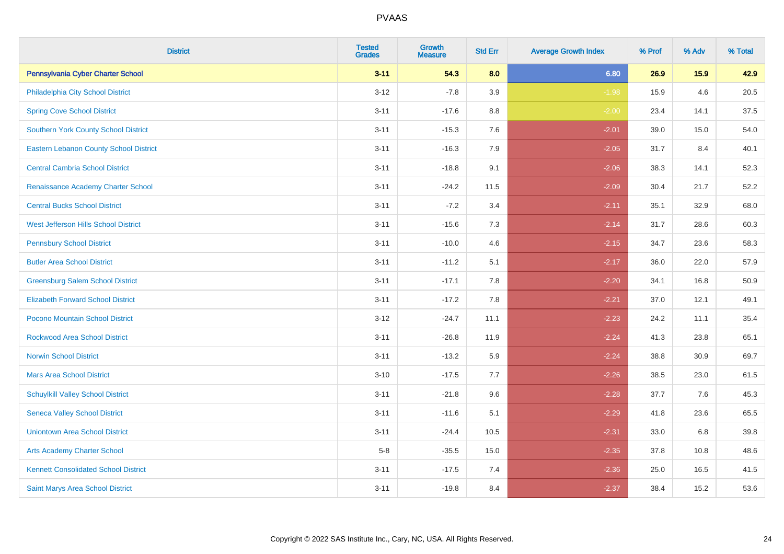| <b>District</b>                               | <b>Tested</b><br><b>Grades</b> | Growth<br><b>Measure</b> | <b>Std Err</b> | <b>Average Growth Index</b> | % Prof | % Adv | % Total |
|-----------------------------------------------|--------------------------------|--------------------------|----------------|-----------------------------|--------|-------|---------|
| Pennsylvania Cyber Charter School             | $3 - 11$                       | 54.3                     | 8.0            | 6.80                        | 26.9   | 15.9  | 42.9    |
| Philadelphia City School District             | $3 - 12$                       | $-7.8$                   | 3.9            | $-1.98$                     | 15.9   | 4.6   | 20.5    |
| <b>Spring Cove School District</b>            | $3 - 11$                       | $-17.6$                  | 8.8            | $-2.00$                     | 23.4   | 14.1  | 37.5    |
| <b>Southern York County School District</b>   | $3 - 11$                       | $-15.3$                  | 7.6            | $-2.01$                     | 39.0   | 15.0  | 54.0    |
| <b>Eastern Lebanon County School District</b> | $3 - 11$                       | $-16.3$                  | 7.9            | $-2.05$                     | 31.7   | 8.4   | 40.1    |
| <b>Central Cambria School District</b>        | $3 - 11$                       | $-18.8$                  | 9.1            | $-2.06$                     | 38.3   | 14.1  | 52.3    |
| Renaissance Academy Charter School            | $3 - 11$                       | $-24.2$                  | 11.5           | $-2.09$                     | 30.4   | 21.7  | 52.2    |
| <b>Central Bucks School District</b>          | $3 - 11$                       | $-7.2$                   | 3.4            | $-2.11$                     | 35.1   | 32.9  | 68.0    |
| West Jefferson Hills School District          | $3 - 11$                       | $-15.6$                  | 7.3            | $-2.14$                     | 31.7   | 28.6  | 60.3    |
| <b>Pennsbury School District</b>              | $3 - 11$                       | $-10.0$                  | 4.6            | $-2.15$                     | 34.7   | 23.6  | 58.3    |
| <b>Butler Area School District</b>            | $3 - 11$                       | $-11.2$                  | 5.1            | $-2.17$                     | 36.0   | 22.0  | 57.9    |
| <b>Greensburg Salem School District</b>       | $3 - 11$                       | $-17.1$                  | 7.8            | $-2.20$                     | 34.1   | 16.8  | 50.9    |
| <b>Elizabeth Forward School District</b>      | $3 - 11$                       | $-17.2$                  | 7.8            | $-2.21$                     | 37.0   | 12.1  | 49.1    |
| <b>Pocono Mountain School District</b>        | $3 - 12$                       | $-24.7$                  | 11.1           | $-2.23$                     | 24.2   | 11.1  | 35.4    |
| <b>Rockwood Area School District</b>          | $3 - 11$                       | $-26.8$                  | 11.9           | $-2.24$                     | 41.3   | 23.8  | 65.1    |
| <b>Norwin School District</b>                 | $3 - 11$                       | $-13.2$                  | 5.9            | $-2.24$                     | 38.8   | 30.9  | 69.7    |
| <b>Mars Area School District</b>              | $3 - 10$                       | $-17.5$                  | 7.7            | $-2.26$                     | 38.5   | 23.0  | 61.5    |
| <b>Schuylkill Valley School District</b>      | $3 - 11$                       | $-21.8$                  | 9.6            | $-2.28$                     | 37.7   | 7.6   | 45.3    |
| <b>Seneca Valley School District</b>          | $3 - 11$                       | $-11.6$                  | 5.1            | $-2.29$                     | 41.8   | 23.6  | 65.5    |
| <b>Uniontown Area School District</b>         | $3 - 11$                       | $-24.4$                  | 10.5           | $-2.31$                     | 33.0   | 6.8   | 39.8    |
| <b>Arts Academy Charter School</b>            | $5-8$                          | $-35.5$                  | 15.0           | $-2.35$                     | 37.8   | 10.8  | 48.6    |
| <b>Kennett Consolidated School District</b>   | $3 - 11$                       | $-17.5$                  | 7.4            | $-2.36$                     | 25.0   | 16.5  | 41.5    |
| Saint Marys Area School District              | $3 - 11$                       | $-19.8$                  | 8.4            | $-2.37$                     | 38.4   | 15.2  | 53.6    |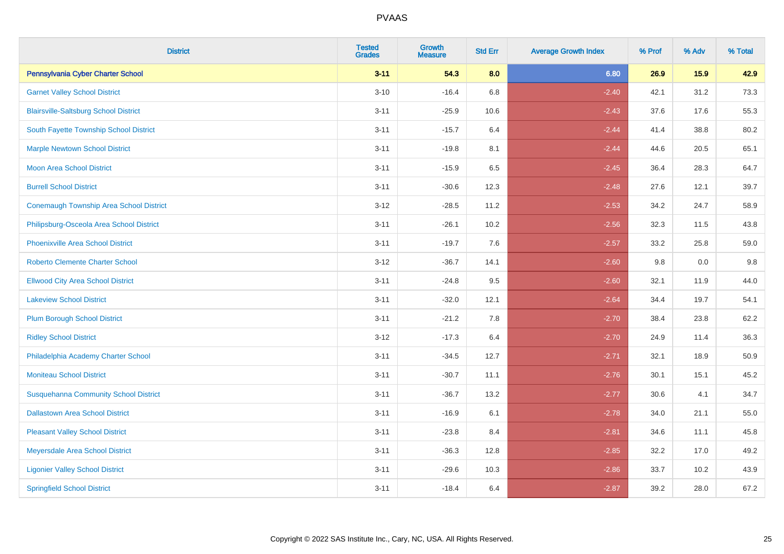| <b>District</b>                              | <b>Tested</b><br><b>Grades</b> | Growth<br><b>Measure</b> | <b>Std Err</b> | <b>Average Growth Index</b> | % Prof | % Adv | % Total |
|----------------------------------------------|--------------------------------|--------------------------|----------------|-----------------------------|--------|-------|---------|
| Pennsylvania Cyber Charter School            | $3 - 11$                       | 54.3                     | 8.0            | 6.80                        | 26.9   | 15.9  | 42.9    |
| <b>Garnet Valley School District</b>         | $3 - 10$                       | $-16.4$                  | 6.8            | $-2.40$                     | 42.1   | 31.2  | 73.3    |
| <b>Blairsville-Saltsburg School District</b> | $3 - 11$                       | $-25.9$                  | 10.6           | $-2.43$                     | 37.6   | 17.6  | 55.3    |
| South Fayette Township School District       | $3 - 11$                       | $-15.7$                  | 6.4            | $-2.44$                     | 41.4   | 38.8  | 80.2    |
| <b>Marple Newtown School District</b>        | $3 - 11$                       | $-19.8$                  | 8.1            | $-2.44$                     | 44.6   | 20.5  | 65.1    |
| Moon Area School District                    | $3 - 11$                       | $-15.9$                  | 6.5            | $-2.45$                     | 36.4   | 28.3  | 64.7    |
| <b>Burrell School District</b>               | $3 - 11$                       | $-30.6$                  | 12.3           | $-2.48$                     | 27.6   | 12.1  | 39.7    |
| Conemaugh Township Area School District      | $3 - 12$                       | $-28.5$                  | 11.2           | $-2.53$                     | 34.2   | 24.7  | 58.9    |
| Philipsburg-Osceola Area School District     | $3 - 11$                       | $-26.1$                  | 10.2           | $-2.56$                     | 32.3   | 11.5  | 43.8    |
| <b>Phoenixville Area School District</b>     | $3 - 11$                       | $-19.7$                  | 7.6            | $-2.57$                     | 33.2   | 25.8  | 59.0    |
| <b>Roberto Clemente Charter School</b>       | $3 - 12$                       | $-36.7$                  | 14.1           | $-2.60$                     | 9.8    | 0.0   | 9.8     |
| <b>Ellwood City Area School District</b>     | $3 - 11$                       | $-24.8$                  | 9.5            | $-2.60$                     | 32.1   | 11.9  | 44.0    |
| <b>Lakeview School District</b>              | $3 - 11$                       | $-32.0$                  | 12.1           | $-2.64$                     | 34.4   | 19.7  | 54.1    |
| <b>Plum Borough School District</b>          | $3 - 11$                       | $-21.2$                  | 7.8            | $-2.70$                     | 38.4   | 23.8  | 62.2    |
| <b>Ridley School District</b>                | $3 - 12$                       | $-17.3$                  | 6.4            | $-2.70$                     | 24.9   | 11.4  | 36.3    |
| Philadelphia Academy Charter School          | $3 - 11$                       | $-34.5$                  | 12.7           | $-2.71$                     | 32.1   | 18.9  | 50.9    |
| <b>Moniteau School District</b>              | $3 - 11$                       | $-30.7$                  | 11.1           | $-2.76$                     | 30.1   | 15.1  | 45.2    |
| <b>Susquehanna Community School District</b> | $3 - 11$                       | $-36.7$                  | 13.2           | $-2.77$                     | 30.6   | 4.1   | 34.7    |
| <b>Dallastown Area School District</b>       | $3 - 11$                       | $-16.9$                  | 6.1            | $-2.78$                     | 34.0   | 21.1  | 55.0    |
| <b>Pleasant Valley School District</b>       | $3 - 11$                       | $-23.8$                  | 8.4            | $-2.81$                     | 34.6   | 11.1  | 45.8    |
| Meyersdale Area School District              | $3 - 11$                       | $-36.3$                  | 12.8           | $-2.85$                     | 32.2   | 17.0  | 49.2    |
| <b>Ligonier Valley School District</b>       | $3 - 11$                       | $-29.6$                  | 10.3           | $-2.86$                     | 33.7   | 10.2  | 43.9    |
| <b>Springfield School District</b>           | $3 - 11$                       | $-18.4$                  | 6.4            | $-2.87$                     | 39.2   | 28.0  | 67.2    |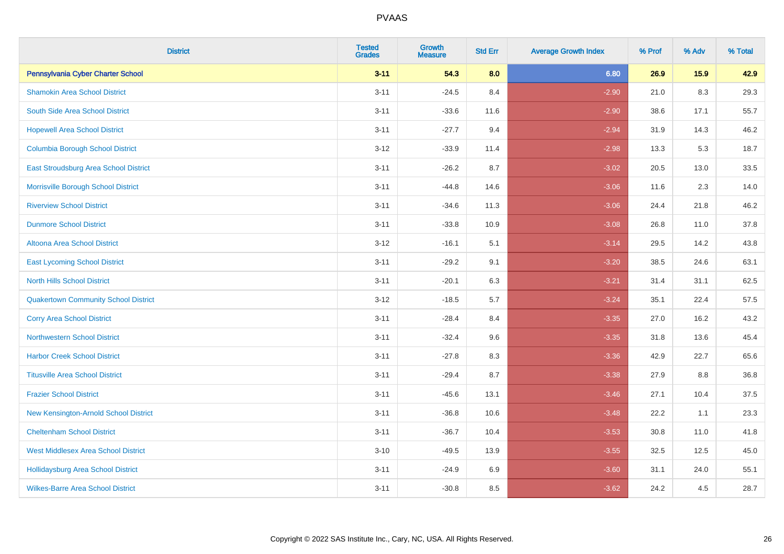| <b>District</b>                              | <b>Tested</b><br><b>Grades</b> | Growth<br><b>Measure</b> | <b>Std Err</b> | <b>Average Growth Index</b> | % Prof | % Adv | % Total |
|----------------------------------------------|--------------------------------|--------------------------|----------------|-----------------------------|--------|-------|---------|
| Pennsylvania Cyber Charter School            | $3 - 11$                       | 54.3                     | 8.0            | 6.80                        | 26.9   | 15.9  | 42.9    |
| <b>Shamokin Area School District</b>         | $3 - 11$                       | $-24.5$                  | 8.4            | $-2.90$                     | 21.0   | 8.3   | 29.3    |
| South Side Area School District              | $3 - 11$                       | $-33.6$                  | 11.6           | $-2.90$                     | 38.6   | 17.1  | 55.7    |
| <b>Hopewell Area School District</b>         | $3 - 11$                       | $-27.7$                  | 9.4            | $-2.94$                     | 31.9   | 14.3  | 46.2    |
| <b>Columbia Borough School District</b>      | $3 - 12$                       | $-33.9$                  | 11.4           | $-2.98$                     | 13.3   | 5.3   | 18.7    |
| <b>East Stroudsburg Area School District</b> | $3 - 11$                       | $-26.2$                  | 8.7            | $-3.02$                     | 20.5   | 13.0  | 33.5    |
| Morrisville Borough School District          | $3 - 11$                       | $-44.8$                  | 14.6           | $-3.06$                     | 11.6   | 2.3   | 14.0    |
| <b>Riverview School District</b>             | $3 - 11$                       | $-34.6$                  | 11.3           | $-3.06$                     | 24.4   | 21.8  | 46.2    |
| <b>Dunmore School District</b>               | $3 - 11$                       | $-33.8$                  | 10.9           | $-3.08$                     | 26.8   | 11.0  | 37.8    |
| <b>Altoona Area School District</b>          | $3 - 12$                       | $-16.1$                  | 5.1            | $-3.14$                     | 29.5   | 14.2  | 43.8    |
| <b>East Lycoming School District</b>         | $3 - 11$                       | $-29.2$                  | 9.1            | $-3.20$                     | 38.5   | 24.6  | 63.1    |
| <b>North Hills School District</b>           | $3 - 11$                       | $-20.1$                  | 6.3            | $-3.21$                     | 31.4   | 31.1  | 62.5    |
| <b>Quakertown Community School District</b>  | $3 - 12$                       | $-18.5$                  | 5.7            | $-3.24$                     | 35.1   | 22.4  | 57.5    |
| <b>Corry Area School District</b>            | $3 - 11$                       | $-28.4$                  | 8.4            | $-3.35$                     | 27.0   | 16.2  | 43.2    |
| <b>Northwestern School District</b>          | $3 - 11$                       | $-32.4$                  | 9.6            | $-3.35$                     | 31.8   | 13.6  | 45.4    |
| <b>Harbor Creek School District</b>          | $3 - 11$                       | $-27.8$                  | 8.3            | $-3.36$                     | 42.9   | 22.7  | 65.6    |
| <b>Titusville Area School District</b>       | $3 - 11$                       | $-29.4$                  | 8.7            | $-3.38$                     | 27.9   | 8.8   | 36.8    |
| <b>Frazier School District</b>               | $3 - 11$                       | $-45.6$                  | 13.1           | $-3.46$                     | 27.1   | 10.4  | 37.5    |
| New Kensington-Arnold School District        | $3 - 11$                       | $-36.8$                  | 10.6           | $-3.48$                     | 22.2   | 1.1   | 23.3    |
| <b>Cheltenham School District</b>            | $3 - 11$                       | $-36.7$                  | 10.4           | $-3.53$                     | 30.8   | 11.0  | 41.8    |
| <b>West Middlesex Area School District</b>   | $3 - 10$                       | $-49.5$                  | 13.9           | $-3.55$                     | 32.5   | 12.5  | 45.0    |
| <b>Hollidaysburg Area School District</b>    | $3 - 11$                       | $-24.9$                  | 6.9            | $-3.60$                     | 31.1   | 24.0  | 55.1    |
| <b>Wilkes-Barre Area School District</b>     | $3 - 11$                       | $-30.8$                  | 8.5            | $-3.62$                     | 24.2   | 4.5   | 28.7    |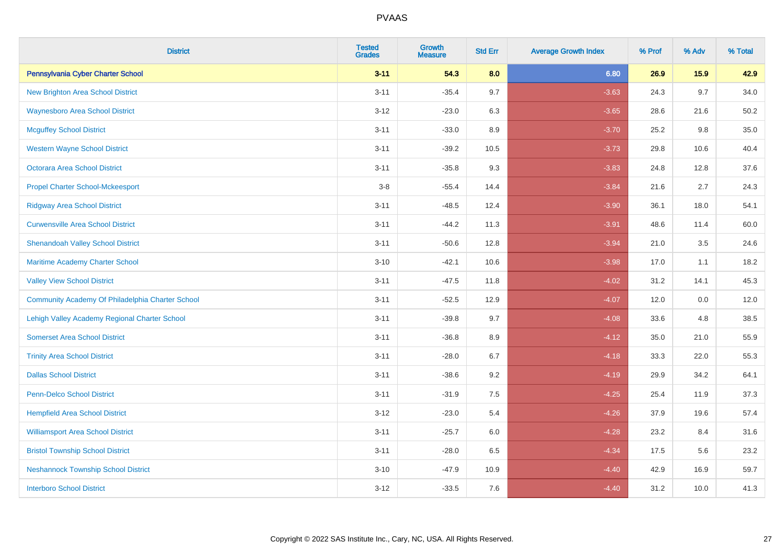| <b>District</b>                                  | <b>Tested</b><br><b>Grades</b> | Growth<br><b>Measure</b> | <b>Std Err</b> | <b>Average Growth Index</b> | % Prof | % Adv | % Total |
|--------------------------------------------------|--------------------------------|--------------------------|----------------|-----------------------------|--------|-------|---------|
| Pennsylvania Cyber Charter School                | $3 - 11$                       | 54.3                     | 8.0            | 6.80                        | 26.9   | 15.9  | 42.9    |
| New Brighton Area School District                | $3 - 11$                       | $-35.4$                  | 9.7            | $-3.63$                     | 24.3   | 9.7   | 34.0    |
| <b>Waynesboro Area School District</b>           | $3 - 12$                       | $-23.0$                  | 6.3            | $-3.65$                     | 28.6   | 21.6  | 50.2    |
| <b>Mcguffey School District</b>                  | $3 - 11$                       | $-33.0$                  | 8.9            | $-3.70$                     | 25.2   | 9.8   | 35.0    |
| <b>Western Wayne School District</b>             | $3 - 11$                       | $-39.2$                  | 10.5           | $-3.73$                     | 29.8   | 10.6  | 40.4    |
| Octorara Area School District                    | $3 - 11$                       | $-35.8$                  | 9.3            | $-3.83$                     | 24.8   | 12.8  | 37.6    |
| <b>Propel Charter School-Mckeesport</b>          | $3 - 8$                        | $-55.4$                  | 14.4           | $-3.84$                     | 21.6   | 2.7   | 24.3    |
| <b>Ridgway Area School District</b>              | $3 - 11$                       | $-48.5$                  | 12.4           | $-3.90$                     | 36.1   | 18.0  | 54.1    |
| <b>Curwensville Area School District</b>         | $3 - 11$                       | $-44.2$                  | 11.3           | $-3.91$                     | 48.6   | 11.4  | 60.0    |
| <b>Shenandoah Valley School District</b>         | $3 - 11$                       | $-50.6$                  | 12.8           | $-3.94$                     | 21.0   | 3.5   | 24.6    |
| Maritime Academy Charter School                  | $3 - 10$                       | $-42.1$                  | 10.6           | $-3.98$                     | 17.0   | 1.1   | 18.2    |
| <b>Valley View School District</b>               | $3 - 11$                       | $-47.5$                  | 11.8           | $-4.02$                     | 31.2   | 14.1  | 45.3    |
| Community Academy Of Philadelphia Charter School | $3 - 11$                       | $-52.5$                  | 12.9           | $-4.07$                     | 12.0   | 0.0   | 12.0    |
| Lehigh Valley Academy Regional Charter School    | $3 - 11$                       | $-39.8$                  | 9.7            | $-4.08$                     | 33.6   | 4.8   | 38.5    |
| <b>Somerset Area School District</b>             | $3 - 11$                       | $-36.8$                  | 8.9            | $-4.12$                     | 35.0   | 21.0  | 55.9    |
| <b>Trinity Area School District</b>              | $3 - 11$                       | $-28.0$                  | 6.7            | $-4.18$                     | 33.3   | 22.0  | 55.3    |
| <b>Dallas School District</b>                    | $3 - 11$                       | $-38.6$                  | 9.2            | $-4.19$                     | 29.9   | 34.2  | 64.1    |
| <b>Penn-Delco School District</b>                | $3 - 11$                       | $-31.9$                  | 7.5            | $-4.25$                     | 25.4   | 11.9  | 37.3    |
| <b>Hempfield Area School District</b>            | $3 - 12$                       | $-23.0$                  | 5.4            | $-4.26$                     | 37.9   | 19.6  | 57.4    |
| <b>Williamsport Area School District</b>         | $3 - 11$                       | $-25.7$                  | $6.0\,$        | $-4.28$                     | 23.2   | 8.4   | 31.6    |
| <b>Bristol Township School District</b>          | $3 - 11$                       | $-28.0$                  | 6.5            | $-4.34$                     | 17.5   | 5.6   | 23.2    |
| <b>Neshannock Township School District</b>       | $3 - 10$                       | $-47.9$                  | 10.9           | $-4.40$                     | 42.9   | 16.9  | 59.7    |
| <b>Interboro School District</b>                 | $3 - 12$                       | $-33.5$                  | 7.6            | $-4.40$                     | 31.2   | 10.0  | 41.3    |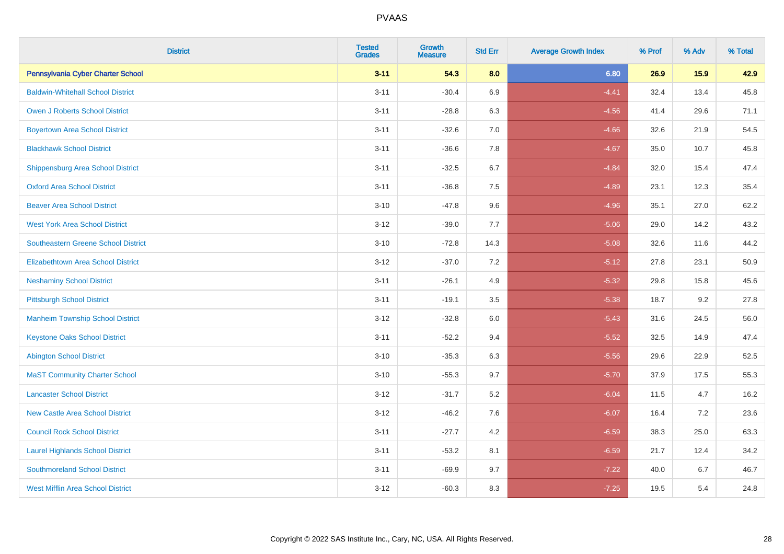| <b>District</b>                            | <b>Tested</b><br><b>Grades</b> | Growth<br><b>Measure</b> | <b>Std Err</b> | <b>Average Growth Index</b> | % Prof | % Adv | % Total |
|--------------------------------------------|--------------------------------|--------------------------|----------------|-----------------------------|--------|-------|---------|
| Pennsylvania Cyber Charter School          | $3 - 11$                       | 54.3                     | 8.0            | 6.80                        | 26.9   | 15.9  | 42.9    |
| <b>Baldwin-Whitehall School District</b>   | $3 - 11$                       | $-30.4$                  | 6.9            | $-4.41$                     | 32.4   | 13.4  | 45.8    |
| Owen J Roberts School District             | $3 - 11$                       | $-28.8$                  | 6.3            | $-4.56$                     | 41.4   | 29.6  | 71.1    |
| <b>Boyertown Area School District</b>      | $3 - 11$                       | $-32.6$                  | 7.0            | $-4.66$                     | 32.6   | 21.9  | 54.5    |
| <b>Blackhawk School District</b>           | $3 - 11$                       | $-36.6$                  | 7.8            | $-4.67$                     | 35.0   | 10.7  | 45.8    |
| <b>Shippensburg Area School District</b>   | $3 - 11$                       | $-32.5$                  | 6.7            | $-4.84$                     | 32.0   | 15.4  | 47.4    |
| <b>Oxford Area School District</b>         | $3 - 11$                       | $-36.8$                  | 7.5            | $-4.89$                     | 23.1   | 12.3  | 35.4    |
| <b>Beaver Area School District</b>         | $3 - 10$                       | $-47.8$                  | 9.6            | $-4.96$                     | 35.1   | 27.0  | 62.2    |
| <b>West York Area School District</b>      | $3-12$                         | $-39.0$                  | 7.7            | $-5.06$                     | 29.0   | 14.2  | 43.2    |
| <b>Southeastern Greene School District</b> | $3 - 10$                       | $-72.8$                  | 14.3           | $-5.08$                     | 32.6   | 11.6  | 44.2    |
| <b>Elizabethtown Area School District</b>  | $3 - 12$                       | $-37.0$                  | 7.2            | $-5.12$                     | 27.8   | 23.1  | 50.9    |
| <b>Neshaminy School District</b>           | $3 - 11$                       | $-26.1$                  | 4.9            | $-5.32$                     | 29.8   | 15.8  | 45.6    |
| <b>Pittsburgh School District</b>          | $3 - 11$                       | $-19.1$                  | 3.5            | $-5.38$                     | 18.7   | 9.2   | 27.8    |
| <b>Manheim Township School District</b>    | $3 - 12$                       | $-32.8$                  | 6.0            | $-5.43$                     | 31.6   | 24.5  | 56.0    |
| <b>Keystone Oaks School District</b>       | $3 - 11$                       | $-52.2$                  | 9.4            | $-5.52$                     | 32.5   | 14.9  | 47.4    |
| <b>Abington School District</b>            | $3 - 10$                       | $-35.3$                  | 6.3            | $-5.56$                     | 29.6   | 22.9  | 52.5    |
| <b>MaST Community Charter School</b>       | $3 - 10$                       | $-55.3$                  | 9.7            | $-5.70$                     | 37.9   | 17.5  | 55.3    |
| <b>Lancaster School District</b>           | $3 - 12$                       | $-31.7$                  | $5.2\,$        | $-6.04$                     | 11.5   | 4.7   | 16.2    |
| <b>New Castle Area School District</b>     | $3 - 12$                       | $-46.2$                  | 7.6            | $-6.07$                     | 16.4   | 7.2   | 23.6    |
| <b>Council Rock School District</b>        | $3 - 11$                       | $-27.7$                  | 4.2            | $-6.59$                     | 38.3   | 25.0  | 63.3    |
| <b>Laurel Highlands School District</b>    | $3 - 11$                       | $-53.2$                  | 8.1            | $-6.59$                     | 21.7   | 12.4  | 34.2    |
| <b>Southmoreland School District</b>       | $3 - 11$                       | $-69.9$                  | 9.7            | $-7.22$                     | 40.0   | 6.7   | 46.7    |
| <b>West Mifflin Area School District</b>   | $3 - 12$                       | $-60.3$                  | 8.3            | $-7.25$                     | 19.5   | 5.4   | 24.8    |